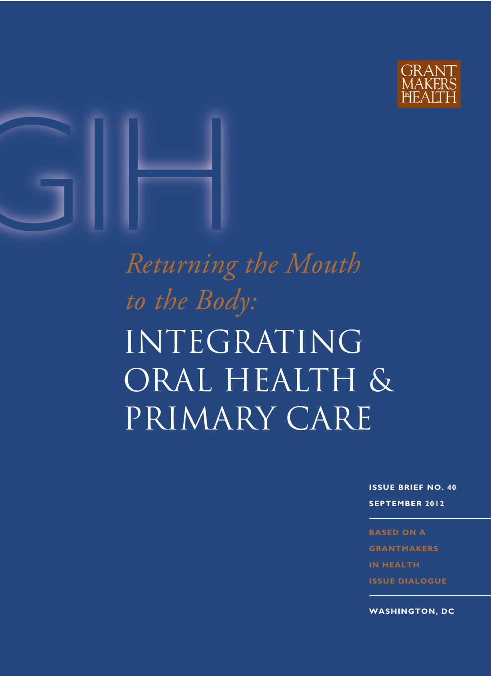



# INTEGRATING oral health & Primary care *Returning the Mouth to the Body:*

**ISSUE BRIEF NO. 40 SEPTEMBER 2012**

**BASED ON A GRANTMAKERS IN HEALTH ISSUE DIALOGUE**

**WASHINGTON, DC**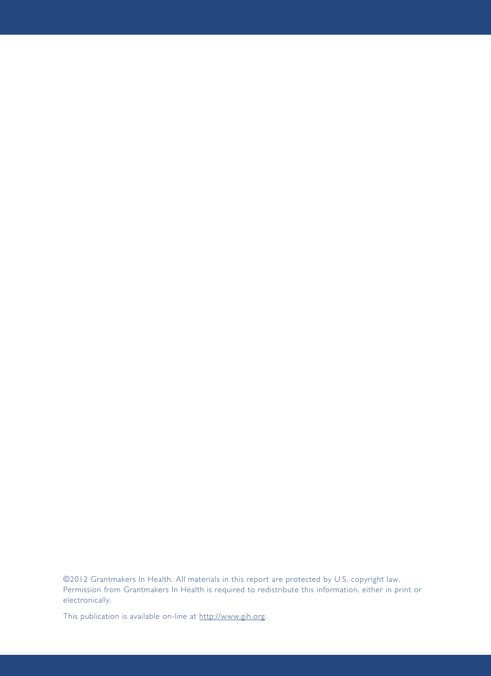©2012 Grantmakers In Health. All materials in this report are protected by U.S. copyright law. Permission from Grantmakers In Health is required to redistribute this information, either in print or electronically.

This publication is available on-line at [http://www.gih.org.](http://www.gih.org)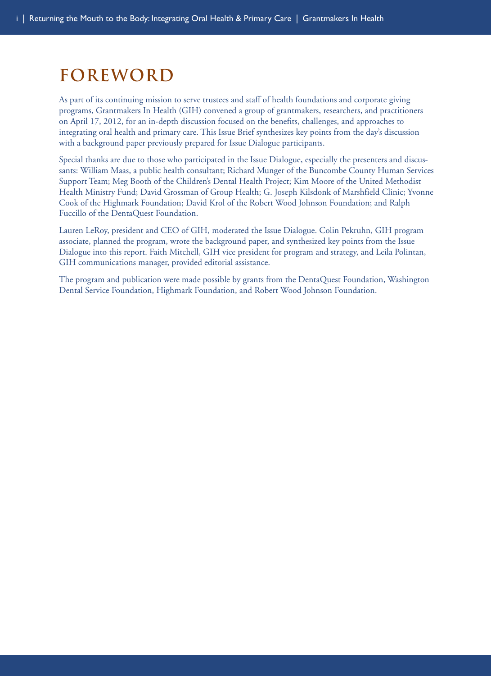# **Foreword**

As part of its continuing mission to serve trustees and staff of health foundations and corporate giving programs, Grantmakers In Health (GIH) convened a group of grantmakers, researchers, and practitioners on April 17, 2012, for an in-depth discussion focused on the benefits, challenges, and approaches to integrating oral health and primary care. This Issue Brief synthesizes key points from the day's discussion with a background paper previously prepared for Issue Dialogue participants.

Special thanks are due to those who participated in the Issue Dialogue, especially the presenters and discussants: William Maas, a public health consultant; Richard Munger of the Buncombe County Human Services Support Team; Meg Booth of the Children's Dental Health Project; Kim Moore of the United Methodist Health Ministry Fund; David Grossman of Group Health; G. Joseph Kilsdonk of Marshfield Clinic; Yvonne Cook of the Highmark Foundation; David Krol of the Robert Wood Johnson Foundation; and Ralph Fuccillo of the DentaQuest Foundation.

Lauren LeRoy, president and CEO of GIH, moderated the Issue Dialogue. Colin Pekruhn, GIH program associate, planned the program, wrote the background paper, and synthesized key points from the Issue Dialogue into this report. Faith Mitchell, GIH vice president for program and strategy, and Leila Polintan, GIH communications manager, provided editorial assistance.

The program and publication were made possible by grants from the DentaQuest Foundation, Washington Dental Service Foundation, Highmark Foundation, and Robert Wood Johnson Foundation.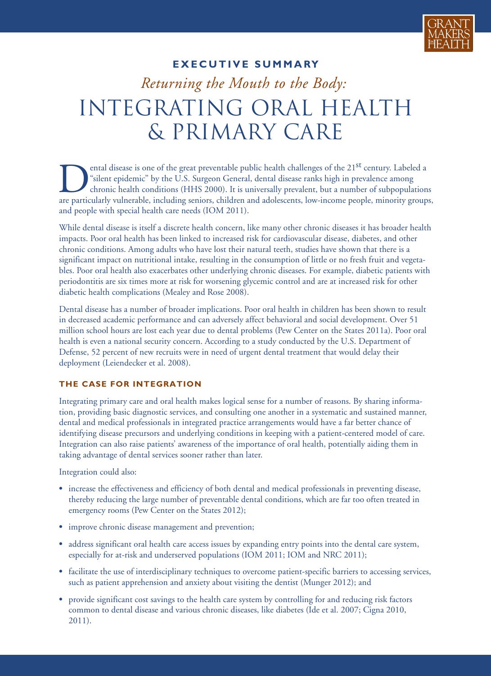

#### **EXECUTIVE SUMMARY**

# *Returning the Mouth to the Body:* integrating oral health & Primary care

ental disease is one of the great preventable public health challenges of the 21<sup>st</sup> century. Labeled a "silent epidemic" by the U.S. Surgeon General, dental disease ranks high in prevalence among chronic health conditions (HHS 2000). It is universally prevalent, but a number of subpopulations are particularly vulnerable, including seniors, children and adolescents, low-income people, minority groups, and people with special health care needs (IOM 2011).

While dental disease is itself a discrete health concern, like many other chronic diseases it has broader health impacts. Poor oral health has been linked to increased risk for cardiovascular disease, diabetes, and other chronic conditions. Among adults who have lost their natural teeth, studies have shown that there is a significant impact on nutritional intake, resulting in the consumption of little or no fresh fruit and vegetables. Poor oral health also exacerbates other underlying chronic diseases. For example, diabetic patients with periodontitis are six times more at risk for worsening glycemic control and are at increased risk for other diabetic health complications (Mealey and Rose 2008).

Dental disease has a number of broader implications. Poor oral health in children has been shown to result in decreased academic performance and can adversely affect behavioral and social development. Over 51 million school hours are lost each year due to dental problems (Pew Center on the States 2011a). Poor oral health is even a national security concern. According to a study conducted by the U.S. Department of Defense, 52 percent of new recruits were in need of urgent dental treatment that would delay their deployment (Leiendecker et al. 2008).

#### **THE CASE FOR INTEGRATION**

Integrating primary care and oral health makes logical sense for a number of reasons. By sharing information, providing basic diagnostic services, and consulting one another in a systematic and sustained manner, dental and medical professionals in integrated practice arrangements would have a far better chance of identifying disease precursors and underlying conditions in keeping with a patient-centered model of care. Integration can also raise patients' awareness of the importance of oral health, potentially aiding them in taking advantage of dental services sooner rather than later.

Integration could also:

- **•** increase the effectiveness and efficiency of both dental and medical professionals in preventing disease, thereby reducing the large number of preventable dental conditions, which are far too often treated in emergency rooms (Pew Center on the States 2012);
- **•** improve chronic disease management and prevention;
- **•** address significant oral health care access issues by expanding entry points into the dental care system, especially for at-risk and underserved populations (IOM 2011; IOM and NRC 2011);
- facilitate the use of interdisciplinary techniques to overcome patient-specific barriers to accessing services, such as patient apprehension and anxiety about visiting the dentist (Munger 2012); and
- **•** provide significant cost savings to the health care system by controlling for and reducing risk factors common to dental disease and various chronic diseases, like diabetes (Ide et al. 2007; Cigna 2010, 2011).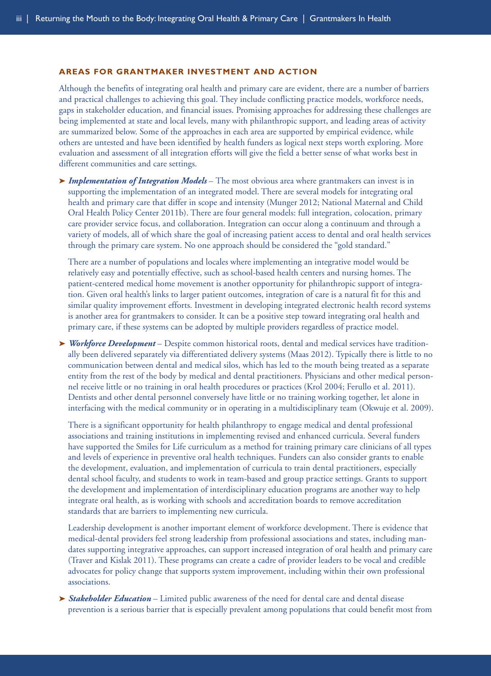#### **AREAS FOR GRANTMAKER INVESTMENT AND ACTION**

Although the benefits of integrating oral health and primary care are evident, there are a number of barriers and practical challenges to achieving this goal. They include conflicting practice models, workforce needs, gaps in stakeholder education, and financial issues. Promising approaches for addressing these challenges are being implemented at state and local levels, many with philanthropic support, and leading areas of activity are summarized below. Some of the approaches in each area are supported by empirical evidence, while others are untested and have been identified by health funders as logical next steps worth exploring. More evaluation and assessment of all integration efforts will give the field a better sense of what works best in different communities and care settings.

**➤** *Implementation of Integration Models* – The most obvious area where grantmakers can invest is in supporting the implementation of an integrated model. There are several models for integrating oral health and primary care that differ in scope and intensity (Munger 2012; National Maternal and Child Oral Health Policy Center 2011b). There are four general models: full integration, colocation, primary care provider service focus, and collaboration. Integration can occur along a continuum and through a variety of models, all of which share the goal of increasing patient access to dental and oral health services through the primary care system. No one approach should be considered the "gold standard."

There are a number of populations and locales where implementing an integrative model would be relatively easy and potentially effective, such as school-based health centers and nursing homes. The patient-centered medical home movement is another opportunity for philanthropic support of integration. Given oral health's links to larger patient outcomes, integration of care is a natural fit for this and similar quality improvement efforts. Investment in developing integrated electronic health record systems is another area for grantmakers to consider. It can be a positive step toward integrating oral health and primary care, if these systems can be adopted by multiple providers regardless of practice model.

**➤** *Workforce Development* – Despite common historical roots, dental and medical services have traditionally been delivered separately via differentiated delivery systems (Maas 2012). Typically there is little to no communication between dental and medical silos, which has led to the mouth being treated as a separate entity from the rest of the body by medical and dental practitioners. Physicians and other medical personnel receive little or no training in oral health procedures or practices (Krol 2004; Ferullo et al. 2011). Dentists and other dental personnel conversely have little or no training working together, let alone in interfacing with the medical community or in operating in a multidisciplinary team (Okwuje et al. 2009).

There is a significant opportunity for health philanthropy to engage medical and dental professional associations and training institutions in implementing revised and enhanced curricula. Several funders have supported the Smiles for Life curriculum as a method for training primary care clinicians of all types and levels of experience in preventive oral health techniques. Funders can also consider grants to enable the development, evaluation, and implementation of curricula to train dental practitioners, especially dental school faculty, and students to work in team-based and group practice settings. Grants to support the development and implementation of interdisciplinary education programs are another way to help integrate oral health, as is working with schools and accreditation boards to remove accreditation standards that are barriers to implementing new curricula.

Leadership development is another important element of workforce development. There is evidence that medical-dental providers feel strong leadership from professional associations and states, including mandates supporting integrative approaches, can support increased integration of oral health and primary care (Traver and Kislak 2011). These programs can create a cadre of provider leaders to be vocal and credible advocates for policy change that supports system improvement, including within their own professional associations.

**► Stakeholder Education** – Limited public awareness of the need for dental care and dental disease prevention is a serious barrier that is especially prevalent among populations that could benefit most from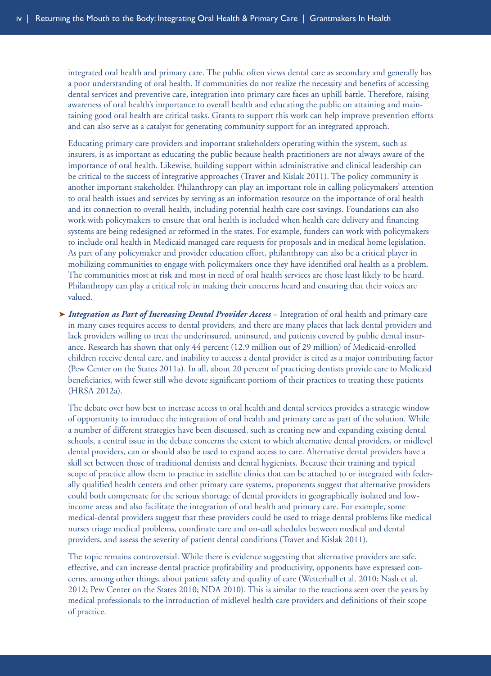integrated oral health and primary care. The public often views dental care as secondary and generally has a poor understanding of oral health. If communities do not realize the necessity and benefits of accessing dental services and preventive care, integration into primary care faces an uphill battle. Therefore, raising awareness of oral health's importance to overall health and educating the public on attaining and maintaining good oral health are critical tasks. Grants to support this work can help improve prevention efforts and can also serve as a catalyst for generating community support for an integrated approach.

Educating primary care providers and important stakeholders operating within the system, such as insurers, is as important as educating the public because health practitioners are not always aware of the importance of oral health. Likewise, building support within administrative and clinical leadership can be critical to the success of integrative approaches (Traver and Kislak 2011). The policy community is another important stakeholder. Philanthropy can play an important role in calling policymakers' attention to oral health issues and services by serving as an information resource on the importance of oral health and its connection to overall health, including potential health care cost savings. Foundations can also work with policymakers to ensure that oral health is included when health care delivery and financing systems are being redesigned or reformed in the states. For example, funders can work with policymakers to include oral health in Medicaid managed care requests for proposals and in medical home legislation. As part of any policymaker and provider education effort, philanthropy can also be a critical player in mobilizing communities to engage with policymakers once they have identified oral health as a problem. The communities most at risk and most in need of oral health services are those least likely to be heard. Philanthropy can play a critical role in making their concerns heard and ensuring that their voices are valued.

**➤** *Integration as Part of Increasing Dental Provider Access* – Integration of oral health and primary care in many cases requires access to dental providers, and there are many places that lack dental providers and lack providers willing to treat the underinsured, uninsured, and patients covered by public dental insurance. Research has shown that only 44 percent (12.9 million out of 29 million) of Medicaid-enrolled children receive dental care, and inability to access a dental provider is cited as a major contributing factor (Pew Center on the States 2011a). In all, about 20 percent of practicing dentists provide care to Medicaid beneficiaries, with fewer still who devote significant portions of their practices to treating these patients (HRSA 2012a).

The debate over how best to increase access to oral health and dental services provides a strategic window of opportunity to introduce the integration of oral health and primary care as part of the solution. While a number of different strategies have been discussed, such as creating new and expanding existing dental schools, a central issue in the debate concerns the extent to which alternative dental providers, or midlevel dental providers, can or should also be used to expand access to care. Alternative dental providers have a skill set between those of traditional dentists and dental hygienists. Because their training and typical scope of practice allow them to practice in satellite clinics that can be attached to or integrated with federally qualified health centers and other primary care systems, proponents suggest that alternative providers could both compensate for the serious shortage of dental providers in geographically isolated and lowincome areas and also facilitate the integration of oral health and primary care. For example, some medical-dental providers suggest that these providers could be used to triage dental problems like medical nurses triage medical problems, coordinate care and on-call schedules between medical and dental providers, and assess the severity of patient dental conditions (Traver and Kislak 2011).

The Issue Dialogue *Health and Justice: Health Care for People Involved in the Justice System* and The topic remains controversial. While there is evidence suggesting that alternative providers are safe, effective, and can increase dental practice profitability and productivity, opponents have expressed concerns, among other things, about patient safety and quality of care (Wetterhall et al. 2010; Nash et al. 2012; Pew Center on the States 2010; NDA 2010). This is similar to the reactions seen over the years by medical professionals to the introduction of midlevel health care providers and definitions of their scope of practice.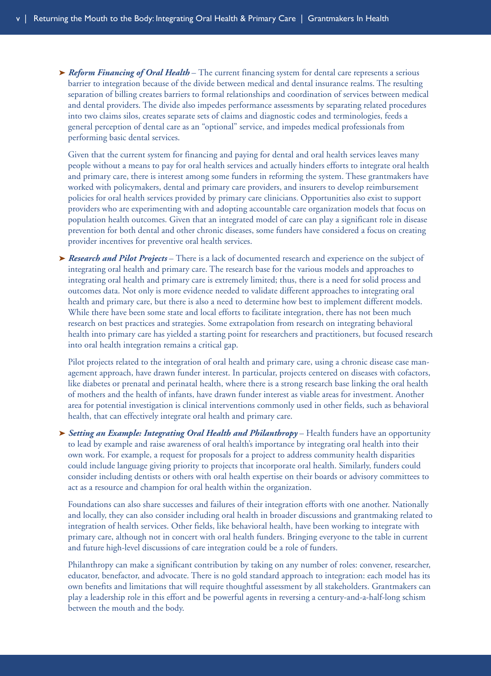**➤** *Reform Financing of Oral Health* – The current financing system for dental care represents a serious barrier to integration because of the divide between medical and dental insurance realms. The resulting separation of billing creates barriers to formal relationships and coordination of services between medical and dental providers. The divide also impedes performance assessments by separating related procedures into two claims silos, creates separate sets of claims and diagnostic codes and terminologies, feeds a general perception of dental care as an "optional" service, and impedes medical professionals from performing basic dental services.

Given that the current system for financing and paying for dental and oral health services leaves many people without a means to pay for oral health services and actually hinders efforts to integrate oral health and primary care, there is interest among some funders in reforming the system. These grantmakers have worked with policymakers, dental and primary care providers, and insurers to develop reimbursement policies for oral health services provided by primary care clinicians. Opportunities also exist to support providers who are experimenting with and adopting accountable care organization models that focus on population health outcomes. Given that an integrated model of care can play a significant role in disease prevention for both dental and other chronic diseases, some funders have considered a focus on creating provider incentives for preventive oral health services.

**➤** *Research and Pilot Projects* – There is a lack of documented research and experience on the subject of integrating oral health and primary care. The research base for the various models and approaches to integrating oral health and primary care is extremely limited; thus, there is a need for solid process and outcomes data. Not only is more evidence needed to validate different approaches to integrating oral health and primary care, but there is also a need to determine how best to implement different models. While there have been some state and local efforts to facilitate integration, there has not been much research on best practices and strategies. Some extrapolation from research on integrating behavioral health into primary care has yielded a starting point for researchers and practitioners, but focused research into oral health integration remains a critical gap.

Pilot projects related to the integration of oral health and primary care, using a chronic disease case management approach, have drawn funder interest. In particular, projects centered on diseases with cofactors, like diabetes or prenatal and perinatal health, where there is a strong research base linking the oral health of mothers and the health of infants, have drawn funder interest as viable areas for investment. Another area for potential investigation is clinical interventions commonly used in other fields, such as behavioral health, that can effectively integrate oral health and primary care.

**➤** *Setting an Example: Integrating Oral Health and Philanthropy* – Health funders have an opportunity to lead by example and raise awareness of oral health's importance by integrating oral health into their own work. For example, a request for proposals for a project to address community health disparities could include language giving priority to projects that incorporate oral health. Similarly, funders could consider including dentists or others with oral health expertise on their boards or advisory committees to act as a resource and champion for oral health within the organization.

Foundations can also share successes and failures of their integration efforts with one another. Nationally and locally, they can also consider including oral health in broader discussions and grantmaking related to integration of health services. Other fields, like behavioral health, have been working to integrate with primary care, although not in concert with oral health funders. Bringing everyone to the table in current and future high-level discussions of care integration could be a role of funders.

between the mouth and the body. Philanthropy can make a significant contribution by taking on any number of roles: convener, researcher, educator, benefactor, and advocate. There is no gold standard approach to integration: each model has its own benefits and limitations that will require thoughtful assessment by all stakeholders. Grantmakers can play a leadership role in this effort and be powerful agents in reversing a century-and-a-half-long schism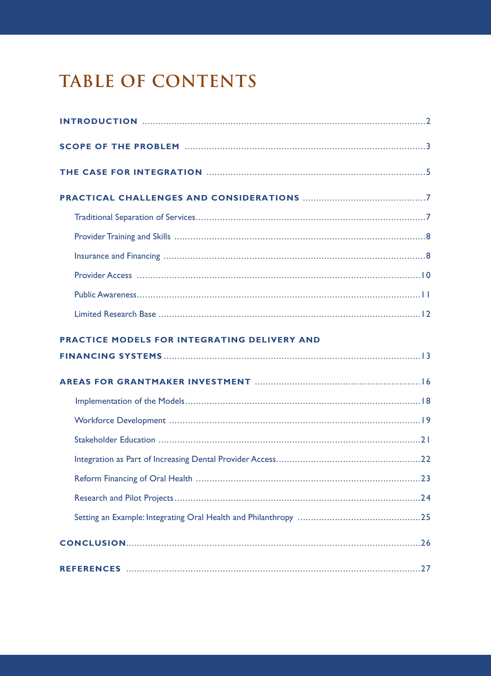# **TABLE OF CONTENTS**

| PRACTICE MODELS FOR INTEGRATING DELIVERY AND |             |
|----------------------------------------------|-------------|
|                                              |             |
|                                              |             |
|                                              |             |
|                                              |             |
|                                              |             |
|                                              |             |
|                                              | $\ldots$ 24 |
|                                              |             |
|                                              |             |
|                                              |             |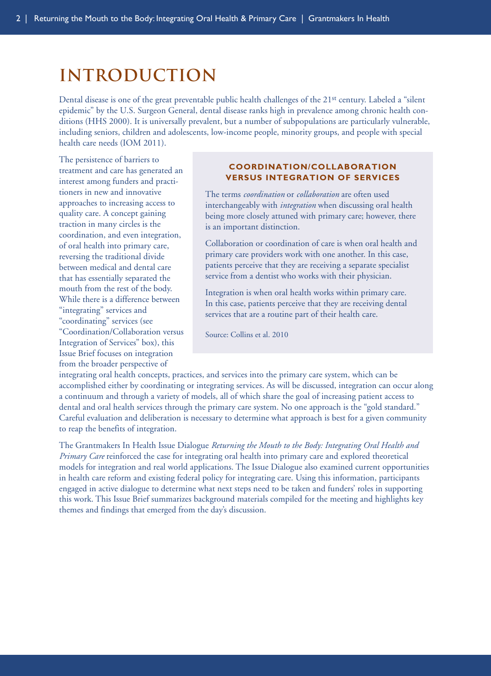# **introduction**

Dental disease is one of the great preventable public health challenges of the 21st century. Labeled a "silent epidemic" by the U.S. Surgeon General, dental disease ranks high in prevalence among chronic health conditions (HHS 2000). It is universally prevalent, but a number of subpopulations are particularly vulnerable, including seniors, children and adolescents, low-income people, minority groups, and people with special health care needs (IOM 2011).

The persistence of barriers to treatment and care has generated an interest among funders and practitioners in new and innovative approaches to increasing access to quality care. A concept gaining traction in many circles is the coordination, and even integration, of oral health into primary care, reversing the traditional divide between medical and dental care that has essentially separated the mouth from the rest of the body. While there is a difference between "integrating" services and "coordinating" services (see "Coordination/Collaboration versus Integration of Services" box), this Issue Brief focuses on integration from the broader perspective of

#### <span id="page-8-0"></span>**COORDINATION/COLLABORATION VERSUS INTEGRATION OF SERVICES**

The terms *coordination* or *collaboration* are often used interchangeably with *integration* when discussing oral health being more closely attuned with primary care; however, there is an important distinction.

Collaboration or coordination of care is when oral health and primary care providers work with one another. In this case, patients perceive that they are receiving a separate specialist service from a dentist who works with their physician.

Integration is when oral health works within primary care. In this case, patients perceive that they are receiving dental services that are a routine part of their health care.

Source: Collins et al. 2010

integrating oral health concepts, practices, and services into the primary care system, which can be accomplished either by coordinating or integrating services. As will be discussed, integration can occur along a continuum and through a variety of models, all of which share the goal of increasing patient access to dental and oral health services through the primary care system. No one approach is the "gold standard." Careful evaluation and deliberation is necessary to determine what approach is best for a given community to reap the benefits of integration.

The Grantmakers In Health Issue Dialogue *Returning the Mouth to the Body: Integrating Oral Health and Primary Care* reinforced the case for integrating oral health into primary care and explored theoretical models for integration and real world applications. The Issue Dialogue also examined current opportunities in health care reform and existing federal policy for integrating care. Using this information, participants engaged in active dialogue to determine what next steps need to be taken and funders' roles in supporting this work. This Issue Brief summarizes background materials compiled for the meeting and highlights key themes and findings that emerged from the day's discussion.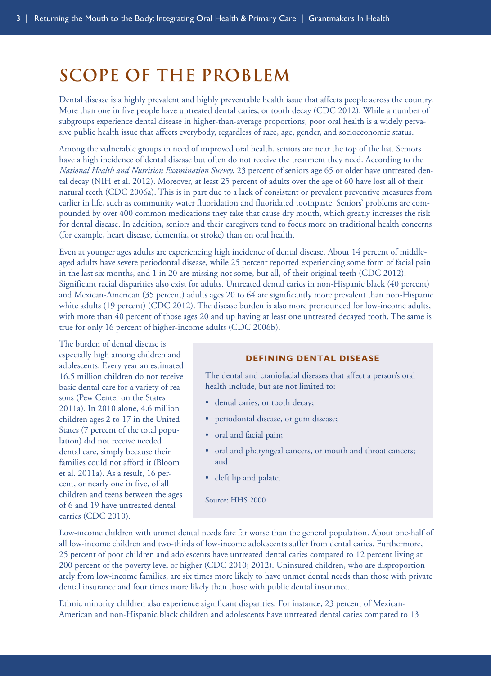### **scope of the problem**

Dental disease is a highly prevalent and highly preventable health issue that affects people across the country. More than one in five people have untreated dental caries, or tooth decay (CDC 2012). While a number of subgroups experience dental disease in higher-than-average proportions, poor oral health is a widely pervasive public health issue that affects everybody, regardless of race, age, gender, and socioeconomic status.

Among the vulnerable groups in need of improved oral health, seniors are near the top of the list. Seniors have a high incidence of dental disease but often do not receive the treatment they need. According to the *National Health and Nutrition Examination Survey*, 23 percent of seniors age 65 or older have untreated dental decay (NIH et al. 2012). Moreover, at least 25 percent of adults over the age of 60 have lost all of their natural teeth (CDC 2006a). This is in part due to a lack of consistent or prevalent preventive measures from earlier in life, such as community water fluoridation and fluoridated toothpaste. Seniors' problems are compounded by over 400 common medications they take that cause dry mouth, which greatly increases the risk for dental disease. In addition, seniors and their caregivers tend to focus more on traditional health concerns (for example, heart disease, dementia, or stroke) than on oral health.

Even at younger ages adults are experiencing high incidence of dental disease. About 14 percent of middleaged adults have severe periodontal disease, while 25 percent reported experiencing some form of facial pain in the last six months, and 1 in 20 are missing not some, but all, of their original teeth (CDC 2012). Significant racial disparities also exist for adults. Untreated dental caries in non-Hispanic black (40 percent) and Mexican-American (35 percent) adults ages 20 to 64 are significantly more prevalent than non-Hispanic white adults (19 percent) (CDC 2012). The disease burden is also more pronounced for low-income adults, with more than 40 percent of those ages 20 and up having at least one untreated decayed tooth. The same is true for only 16 percent of higher-income adults (CDC 2006b).

The burden of dental disease is especially high among children and adolescents. Every year an estimated 16.5 million children do not receive basic dental care for a variety of reasons (Pew Center on the States 2011a). In 2010 alone, 4.6 million children ages 2 to 17 in the United States (7 percent of the total population) did not receive needed dental care, simply because their families could not afford it (Bloom et al. 2011a). As a result, 16 percent, or nearly one in five, of all children and teens between the ages of 6 and 19 have untreated dental carries (CDC 2010).

#### <span id="page-9-0"></span>**DEFINING DENTAL DISEASE**

The dental and craniofacial diseases that affect a person's oral health include, but are not limited to:

- dental caries, or tooth decay;
- periodontal disease, or gum disease;
- oral and facial pain;
- oral and pharyngeal cancers, or mouth and throat cancers; and
- cleft lip and palate.

Source: HHS 2000

Low-income children with unmet dental needs fare far worse than the general population. About one-half of all low-income children and two-thirds of low-income adolescents suffer from dental caries. Furthermore, 25 percent of poor children and adolescents have untreated dental caries compared to 12 percent living at 200 percent of the poverty level or higher (CDC 2010; 2012). Uninsured children, who are disproportionately from low-income families, are six times more likely to have unmet dental needs than those with private dental insurance and four times more likely than those with public dental insurance.

Ethnic minority children also experience significant disparities. For instance, 23 percent of Mexican-American and non-Hispanic black children and adolescents have untreated dental caries compared to 13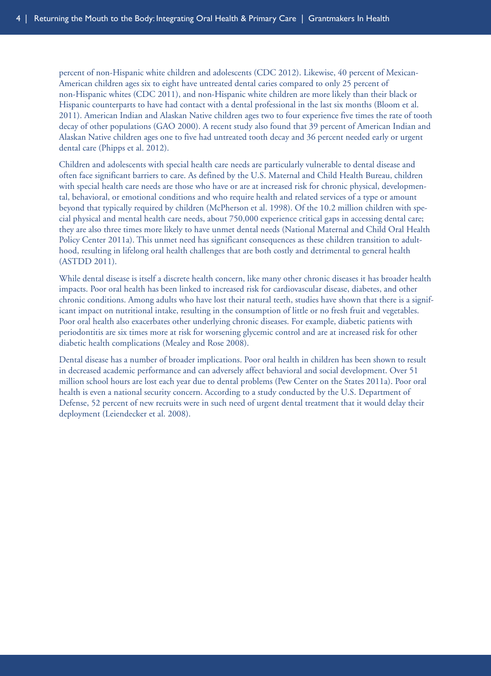percent of non-Hispanic white children and adolescents (CDC 2012). Likewise, 40 percent of Mexican-American children ages six to eight have untreated dental caries compared to only 25 percent of non-Hispanic whites (CDC 2011), and non-Hispanic white children are more likely than their black or Hispanic counterparts to have had contact with a dental professional in the last six months (Bloom et al. 2011). American Indian and Alaskan Native children ages two to four experience five times the rate of tooth decay of other populations (GAO 2000). A recent study also found that 39 percent of American Indian and Alaskan Native children ages one to five had untreated tooth decay and 36 percent needed early or urgent dental care (Phipps et al. 2012).

Children and adolescents with special health care needs are particularly vulnerable to dental disease and often face significant barriers to care. As defined by the U.S. Maternal and Child Health Bureau, children with special health care needs are those who have or are at increased risk for chronic physical, developmental, behavioral, or emotional conditions and who require health and related services of a type or amount beyond that typically required by children (McPherson et al. 1998). Of the 10.2 million children with special physical and mental health care needs, about 750,000 experience critical gaps in accessing dental care; they are also three times more likely to have unmet dental needs (National Maternal and Child Oral Health Policy Center 2011a). This unmet need has significant consequences as these children transition to adulthood, resulting in lifelong oral health challenges that are both costly and detrimental to general health (ASTDD 2011).

While dental disease is itself a discrete health concern, like many other chronic diseases it has broader health impacts. Poor oral health has been linked to increased risk for cardiovascular disease, diabetes, and other chronic conditions. Among adults who have lost their natural teeth, studies have shown that there is a significant impact on nutritional intake, resulting in the consumption of little or no fresh fruit and vegetables. Poor oral health also exacerbates other underlying chronic diseases. For example, diabetic patients with periodontitis are six times more at risk for worsening glycemic control and are at increased risk for other diabetic health complications (Mealey and Rose 2008).

Dental disease has a number of broader implications. Poor oral health in children has been shown to result in decreased academic performance and can adversely affect behavioral and social development. Over 51 million school hours are lost each year due to dental problems (Pew Center on the States 2011a). Poor oral health is even a national security concern. According to a study conducted by the U.S. Department of Defense, 52 percent of new recruits were in such need of urgent dental treatment that it would delay their deployment (Leiendecker et al. 2008).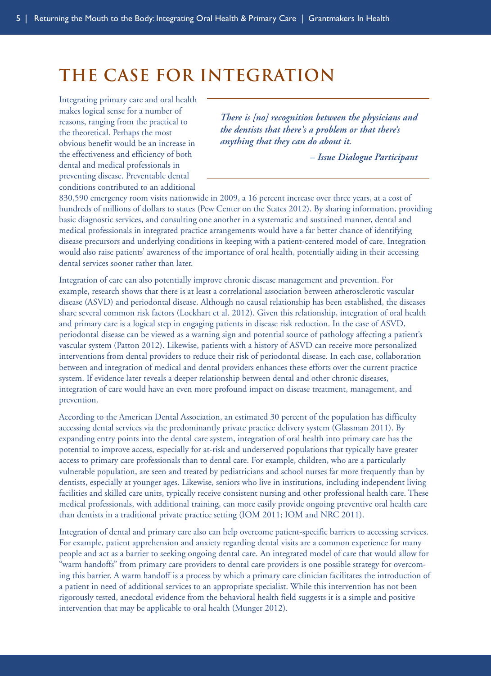## **the case for integration**

Integrating primary care and oral health makes logical sense for a number of reasons, ranging from the practical to the theoretical. Perhaps the most obvious benefit would be an increase in the effectiveness and efficiency of both dental and medical professionals in preventing disease. Preventable dental conditions contributed to an additional

*There is [no] recognition between the physicians and the dentists that there's a problem or that there's anything that they can do about it.*

<span id="page-11-0"></span>*– Issue Dialogue Participant*

830,590 emergency room visits nationwide in 2009, a 16 percent increase over three years, at a cost of hundreds of millions of dollars to states (Pew Center on the States 2012). By sharing information, providing basic diagnostic services, and consulting one another in a systematic and sustained manner, dental and medical professionals in integrated practice arrangements would have a far better chance of identifying disease precursors and underlying conditions in keeping with a patient-centered model of care. Integration would also raise patients' awareness of the importance of oral health, potentially aiding in their accessing dental services sooner rather than later.

Integration of care can also potentially improve chronic disease management and prevention. For example, research shows that there is at least a correlational association between atherosclerotic vascular disease (ASVD) and periodontal disease. Although no causal relationship has been established, the diseases share several common risk factors (Lockhart et al. 2012). Given this relationship, integration of oral health and primary care is a logical step in engaging patients in disease risk reduction. In the case of ASVD, periodontal disease can be viewed as a warning sign and potential source of pathology affecting a patient's vascular system (Patton 2012). Likewise, patients with a history of ASVD can receive more personalized interventions from dental providers to reduce their risk of periodontal disease. In each case, collaboration between and integration of medical and dental providers enhances these efforts over the current practice system. If evidence later reveals a deeper relationship between dental and other chronic diseases, integration of care would have an even more profound impact on disease treatment, management, and prevention.

According to the American Dental Association, an estimated 30 percent of the population has difficulty accessing dental services via the predominantly private practice delivery system (Glassman 2011). By expanding entry points into the dental care system, integration of oral health into primary care has the potential to improve access, especially for at-risk and underserved populations that typically have greater access to primary care professionals than to dental care. For example, children, who are a particularly vulnerable population, are seen and treated by pediatricians and school nurses far more frequently than by dentists, especially at younger ages. Likewise, seniors who live in institutions, including independent living facilities and skilled care units, typically receive consistent nursing and other professional health care. These medical professionals, with additional training, can more easily provide ongoing preventive oral health care than dentists in a traditional private practice setting (IOM 2011; IOM and NRC 2011).

Integration of dental and primary care also can help overcome patient-specific barriers to accessing services. For example, patient apprehension and anxiety regarding dental visits are a common experience for many people and act as a barrier to seeking ongoing dental care. An integrated model of care that would allow for "warm handoffs" from primary care providers to dental care providers is one possible strategy for overcoming this barrier. A warm handoff is a process by which a primary care clinician facilitates the introduction of a patient in need of additional services to an appropriate specialist. While this intervention has not been rigorously tested, anecdotal evidence from the behavioral health field suggests it is a simple and positive intervention that may be applicable to oral health (Munger 2012).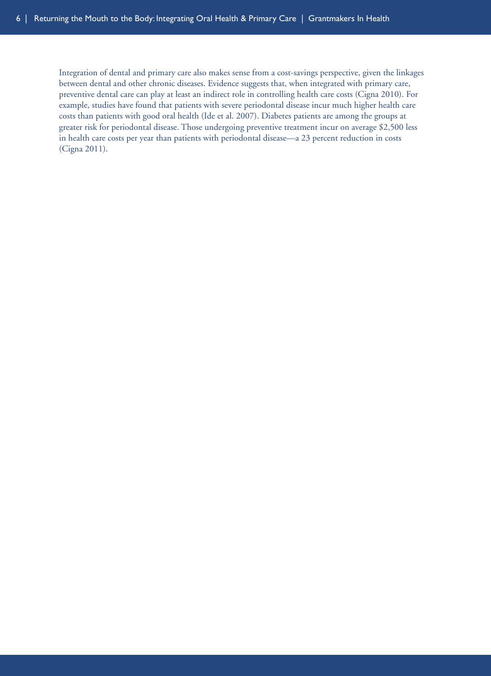Integration of dental and primary care also makes sense from a cost-savings perspective, given the linkages between dental and other chronic diseases. Evidence suggests that, when integrated with primary care, preventive dental care can play at least an indirect role in controlling health care costs (Cigna 2010). For example, studies have found that patients with severe periodontal disease incur much higher health care costs than patients with good oral health (Ide et al. 2007). Diabetes patients are among the groups at greater risk for periodontal disease. Those undergoing preventive treatment incur on average \$2,500 less in health care costs per year than patients with periodontal disease—a 23 percent reduction in costs (Cigna 2011).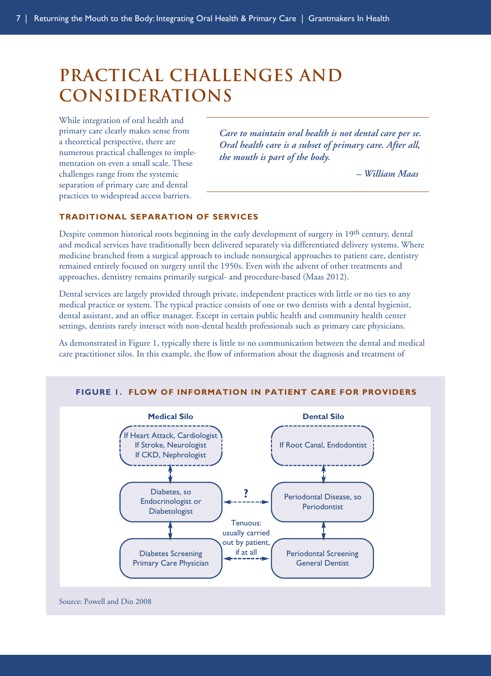# **practical challenges and considerations**

While integration of oral health and primary care clearly makes sense from a theoretical perspective, there are numerous practical challenges to implementation on even a small scale. These challenges range from the systemic separation of primary care and dental practices to widespread access barriers.

*Care to maintain oral health is not dental care per se. Oral health care is a subset of primary care. After all, the mouth is part of the body.*

<span id="page-13-0"></span>*– William Maas*

#### **TRADITIONAL SEPARATION OF SERVICES**

Despite common historical roots beginning in the early development of surgery in 19th century, dental and medical services have traditionally been delivered separately via differentiated delivery systems. Where medicine branched from a surgical approach to include nonsurgical approaches to patient care, dentistry remained entirely focused on surgery until the 1950s. Even with the advent of other treatments and approaches, dentistry remains primarily surgical- and procedure-based (Maas 2012).

Dental services are largely provided through private, independent practices with little or no ties to any medical practice or system. The typical practice consists of one or two dentists with a dental hygienist, dental assistant, and an office manager. Except in certain public health and community health center settings, dentists rarely interact with non-dental health professionals such as primary care physicians.

As demonstrated in Figure 1, typically there is little to no communication between the dental and medical care practitioner silos. In this example, the flow of information about the diagnosis and treatment of

#### **FIGURE 1. FLOW OF INFORMATION IN PATIENT CARE FOR PROVIDERS**



Source: Powell and Din 2008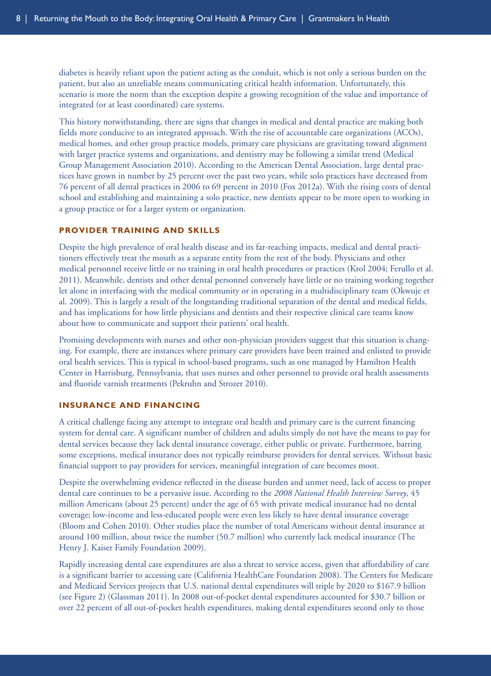<span id="page-14-0"></span>diabetes is heavily reliant upon the patient acting as the conduit, which is not only a serious burden on the patient, but also an unreliable means communicating critical health information. Unfortunately, this scenario is more the norm than the exception despite a growing recognition of the value and importance of integrated (or at least coordinated) care systems.

This history notwithstanding, there are signs that changes in medical and dental practice are making both fields more conducive to an integrated approach. With the rise of accountable care organizations (ACOs), medical homes, and other group practice models, primary care physicians are gravitating toward alignment with larger practice systems and organizations, and dentistry may be following a similar trend (Medical Group Management Association 2010). According to the American Dental Association, large dental practices have grown in number by 25 percent over the past two years, while solo practices have decreased from 76 percent of all dental practices in 2006 to 69 percent in 2010 (Fox 2012a). With the rising costs of dental school and establishing and maintaining a solo practice, new dentists appear to be more open to working in a group practice or for a larger system or organization.

#### **PROVIDER TRAINING AND SKILLS**

Despite the high prevalence of oral health disease and its far-reaching impacts, medical and dental practitioners effectively treat the mouth as a separate entity from the rest of the body. Physicians and other medical personnel receive little or no training in oral health procedures or practices (Krol 2004; Ferullo et al. 2011). Meanwhile, dentists and other dental personnel conversely have little or no training working together let alone in interfacing with the medical community or in operating in a multidisciplinary team (Okwuje et al. 2009). This is largely a result of the longstanding traditional separation of the dental and medical fields, and has implications for how little physicians and dentists and their respective clinical care teams know about how to communicate and support their patients' oral health.

Promising developments with nurses and other non-physician providers suggest that this situation is changing. For example, there are instances where primary care providers have been trained and enlisted to provide oral health services. This is typical in school-based programs, such as one managed by Hamilton Health Center in Harrisburg, Pennsylvania, that uses nurses and other personnel to provide oral health assessments and fluoride varnish treatments (Pekruhn and Strozer 2010).

#### **INSURANCE AND FINANCING**

A critical challenge facing any attempt to integrate oral health and primary care is the current financing system for dental care. A significant number of children and adults simply do not have the means to pay for dental services because they lack dental insurance coverage, either public or private. Furthermore, barring some exceptions, medical insurance does not typically reimburse providers for dental services. Without basic financial support to pay providers for services, meaningful integration of care becomes moot.

Despite the overwhelming evidence reflected in the disease burden and unmet need, lack of access to proper dental care continues to be a pervasive issue. According to the *2008 National Health Interview Survey*, 45 million Americans (about 25 percent) under the age of 65 with private medical insurance had no dental coverage; low-income and less-educated people were even less likely to have dental insurance coverage (Bloom and Cohen 2010). Other studies place the number of total Americans without dental insurance at around 100 million, about twice the number (50.7 million) who currently lack medical insurance (The Henry J. Kaiser Family Foundation 2009).

Rapidly increasing dental care expenditures are also a threat to service access, given that affordability of care is a significant barrier to accessing care (California HealthCare Foundation 2008). The Centers for Medicare and Medicaid Services projects that U.S. national dental expenditures will triple by 2020 to \$167.9 billion (see Figure 2) (Glassman 2011). In 2008 out-of-pocket dental expenditures accounted for \$30.7 billion or over 22 percent of all out-of-pocket health expenditures, making dental expenditures second only to those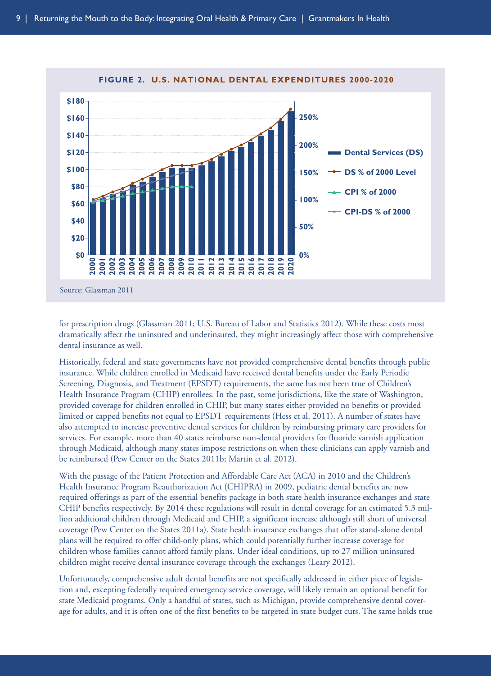

#### **FIGURE 2. U.S. NATIONAL DENTAL EXPENDITURES 2000-2020**

for prescription drugs (Glassman 2011; U.S. Bureau of Labor and Statistics 2012). While these costs most dramatically affect the uninsured and underinsured, they might increasingly affect those with comprehensive dental insurance as well.

Historically, federal and state governments have not provided comprehensive dental benefits through public insurance. While children enrolled in Medicaid have received dental benefits under the Early Periodic Screening, Diagnosis, and Treatment (EPSDT) requirements, the same has not been true of Children's Health Insurance Program (CHIP) enrollees. In the past, some jurisdictions, like the state of Washington, provided coverage for children enrolled in CHIP, but many states either provided no benefits or provided limited or capped benefits not equal to EPSDT requirements (Hess et al. 2011). A number of states have also attempted to increase preventive dental services for children by reimbursing primary care providers for services. For example, more than 40 states reimburse non-dental providers for fluoride varnish application through Medicaid, although many states impose restrictions on when these clinicians can apply varnish and be reimbursed (Pew Center on the States 2011b; Martin et al. 2012).

With the passage of the Patient Protection and Affordable Care Act (ACA) in 2010 and the Children's Health Insurance Program Reauthorization Act (CHIPRA) in 2009, pediatric dental benefits are now required offerings as part of the essential benefits package in both state health insurance exchanges and state CHIP benefits respectively. By 2014 these regulations will result in dental coverage for an estimated 5.3 million additional children through Medicaid and CHIP, a significant increase although still short of universal coverage (Pew Center on the States 2011a). State health insurance exchanges that offer stand-alone dental plans will be required to offer child-only plans, which could potentially further increase coverage for children whose families cannot afford family plans. Under ideal conditions, up to 27 million uninsured children might receive dental insurance coverage through the exchanges (Leary 2012).

Unfortunately, comprehensive adult dental benefits are not specifically addressed in either piece of legislation and, excepting federally required emergency service coverage, will likely remain an optional benefit for state Medicaid programs. Only a handful of states, such as Michigan, provide comprehensive dental coverage for adults, and it is often one of the first benefits to be targeted in state budget cuts. The same holds true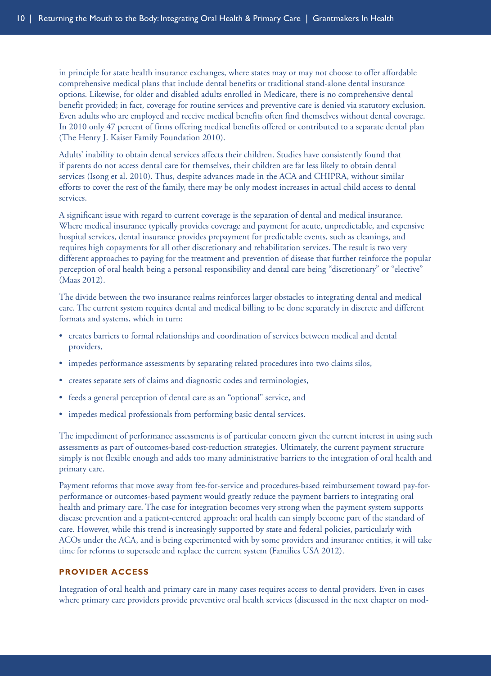<span id="page-16-0"></span>in principle for state health insurance exchanges, where states may or may not choose to offer affordable comprehensive medical plans that include dental benefits or traditional stand-alone dental insurance options. Likewise, for older and disabled adults enrolled in Medicare, there is no comprehensive dental benefit provided; in fact, coverage for routine services and preventive care is denied via statutory exclusion. Even adults who are employed and receive medical benefits often find themselves without dental coverage. In 2010 only 47 percent of firms offering medical benefits offered or contributed to a separate dental plan (The Henry J. Kaiser Family Foundation 2010).

Adults' inability to obtain dental services affects their children. Studies have consistently found that if parents do not access dental care for themselves, their children are far less likely to obtain dental services (Isong et al. 2010). Thus, despite advances made in the ACA and CHIPRA, without similar efforts to cover the rest of the family, there may be only modest increases in actual child access to dental services.

A significant issue with regard to current coverage is the separation of dental and medical insurance. Where medical insurance typically provides coverage and payment for acute, unpredictable, and expensive hospital services, dental insurance provides prepayment for predictable events, such as cleanings, and requires high copayments for all other discretionary and rehabilitation services. The result is two very different approaches to paying for the treatment and prevention of disease that further reinforce the popular perception of oral health being a personal responsibility and dental care being "discretionary" or "elective" (Maas 2012).

The divide between the two insurance realms reinforces larger obstacles to integrating dental and medical care. The current system requires dental and medical billing to be done separately in discrete and different formats and systems, which in turn:

- creates barriers to formal relationships and coordination of services between medical and dental providers,
- impedes performance assessments by separating related procedures into two claims silos,
- creates separate sets of claims and diagnostic codes and terminologies,
- feeds a general perception of dental care as an "optional" service, and
- impedes medical professionals from performing basic dental services.

The impediment of performance assessments is of particular concern given the current interest in using such assessments as part of outcomes-based cost-reduction strategies. Ultimately, the current payment structure simply is not flexible enough and adds too many administrative barriers to the integration of oral health and primary care.

Payment reforms that move away from fee-for-service and procedures-based reimbursement toward pay-forperformance or outcomes-based payment would greatly reduce the payment barriers to integrating oral health and primary care. The case for integration becomes very strong when the payment system supports disease prevention and a patient-centered approach: oral health can simply become part of the standard of care. However, while this trend is increasingly supported by state and federal policies, particularly with ACOs under the ACA, and is being experimented with by some providers and insurance entities, it will take time for reforms to supersede and replace the current system (Families USA 2012).

#### **PROVIDER ACCESS**

Integration of oral health and primary care in many cases requires access to dental providers. Even in cases where primary care providers provide preventive oral health services (discussed in the next chapter on mod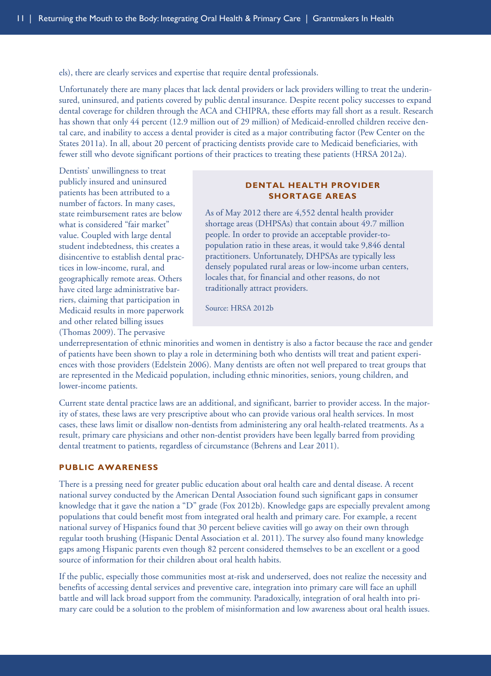els), there are clearly services and expertise that require dental professionals.

Unfortunately there are many places that lack dental providers or lack providers willing to treat the underinsured, uninsured, and patients covered by public dental insurance. Despite recent policy successes to expand dental coverage for children through the ACA and CHIPRA, these efforts may fall short as a result. Research has shown that only 44 percent (12.9 million out of 29 million) of Medicaid-enrolled children receive dental care, and inability to access a dental provider is cited as a major contributing factor (Pew Center on the States 2011a). In all, about 20 percent of practicing dentists provide care to Medicaid beneficiaries, with fewer still who devote significant portions of their practices to treating these patients (HRSA 2012a).

Dentists' unwillingness to treat publicly insured and uninsured patients has been attributed to a number of factors. In many cases, state reimbursement rates are below what is considered "fair market" value. Coupled with large dental student indebtedness, this creates a disincentive to establish dental practices in low-income, rural, and geographically remote areas. Others have cited large administrative barriers, claiming that participation in Medicaid results in more paperwork and other related billing issues (Thomas 2009). The pervasive

#### <span id="page-17-0"></span>**DENTAL HEALTH PROVIDER SHORTAGE AREAS**

As of May 2012 there are 4,552 dental health provider shortage areas (DHPSAs) that contain about 49.7 million people. In order to provide an acceptable provider-topopulation ratio in these areas, it would take 9,846 dental practitioners. Unfortunately, DHPSAs are typically less densely populated rural areas or low-income urban centers, locales that, for financial and other reasons, do not traditionally attract providers.

Source: HRSA 2012b

underrepresentation of ethnic minorities and women in dentistry is also a factor because the race and gender of patients have been shown to play a role in determining both who dentists will treat and patient experiences with those providers (Edelstein 2006). Many dentists are often not well prepared to treat groups that are represented in the Medicaid population, including ethnic minorities, seniors, young children, and lower-income patients.

Current state dental practice laws are an additional, and significant, barrier to provider access. In the majority of states, these laws are very prescriptive about who can provide various oral health services. In most cases, these laws limit or disallow non-dentists from administering any oral health-related treatments. As a result, primary care physicians and other non-dentist providers have been legally barred from providing dental treatment to patients, regardless of circumstance (Behrens and Lear 2011).

#### **PUBLIC AWARENESS**

There is a pressing need for greater public education about oral health care and dental disease. A recent national survey conducted by the American Dental Association found such significant gaps in consumer knowledge that it gave the nation a "D" grade (Fox 2012b). Knowledge gaps are especially prevalent among populations that could benefit most from integrated oral health and primary care. For example, a recent national survey of Hispanics found that 30 percent believe cavities will go away on their own through regular tooth brushing (Hispanic Dental Association et al. 2011). The survey also found many knowledge gaps among Hispanic parents even though 82 percent considered themselves to be an excellent or a good source of information for their children about oral health habits.

If the public, especially those communities most at-risk and underserved, does not realize the necessity and benefits of accessing dental services and preventive care, integration into primary care will face an uphill battle and will lack broad support from the community. Paradoxically, integration of oral health into primary care could be a solution to the problem of misinformation and low awareness about oral health issues.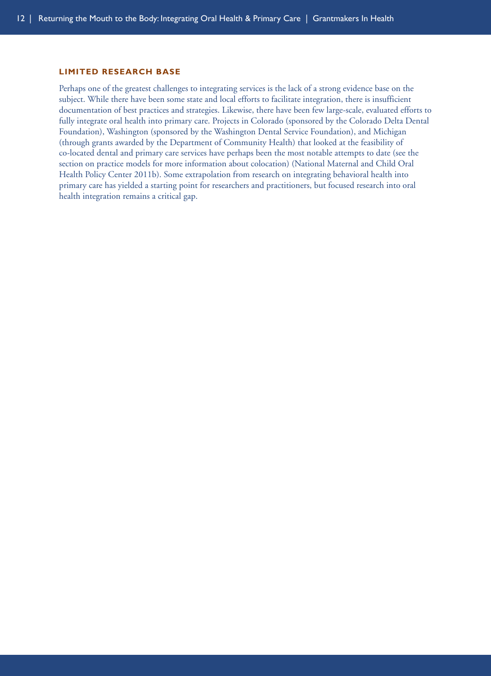#### <span id="page-18-0"></span>**LIMITED RESEARCH BASE**

Perhaps one of the greatest challenges to integrating services is the lack of a strong evidence base on the subject. While there have been some state and local efforts to facilitate integration, there is insufficient documentation of best practices and strategies. Likewise, there have been few large-scale, evaluated efforts to fully integrate oral health into primary care. Projects in Colorado (sponsored by the Colorado Delta Dental Foundation), Washington (sponsored by the Washington Dental Service Foundation), and Michigan (through grants awarded by the Department of Community Health) that looked at the feasibility of co-located dental and primary care services have perhaps been the most notable attempts to date (see the section on practice models for more information about colocation) (National Maternal and Child Oral Health Policy Center 2011b). Some extrapolation from research on integrating behavioral health into primary care has yielded a starting point for researchers and practitioners, but focused research into oral health integration remains a critical gap.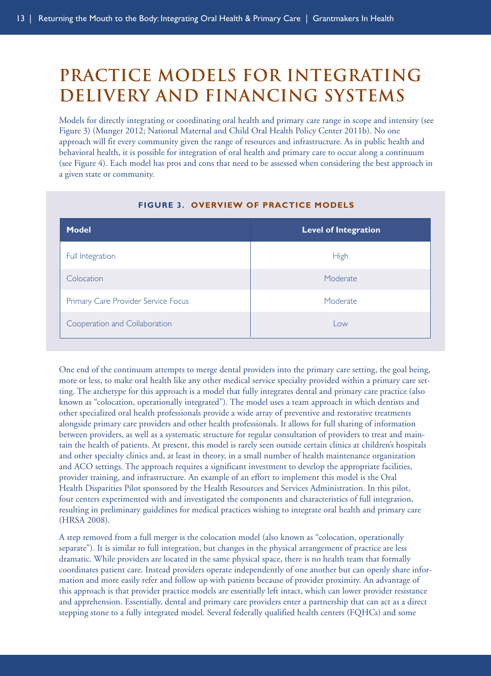# **Practice Models for Integrating Delivery and Financing Systems**

Models for directly integrating or coordinating oral health and primary care range in scope and intensity (see Figure 3) (Munger 2012; National Maternal and Child Oral Health Policy Center 2011b). No one approach will fit every community given the range of resources and infrastructure. As in public health and behavioral health, it is possible for integration of oral health and primary care to occur along a continuum (see Figure 4). Each model has pros and cons that need to be assessed when considering the best approach in a given state or community.

| <b>Model</b>                        | <b>Level of Integration</b> |
|-------------------------------------|-----------------------------|
| Full Integration                    | High                        |
| Colocation                          | Moderate                    |
| Primary Care Provider Service Focus | Moderate                    |
| Cooperation and Collaboration       | Low                         |

#### <span id="page-19-0"></span>**FIGURE 3. OVERVIEW OF PRACTICE MODELS**

One end of the continuum attempts to merge dental providers into the primary care setting, the goal being, more or less, to make oral health like any other medical service specialty provided within a primary care setting. The archetype for this approach is a model that fully integrates dental and primary care practice (also known as "colocation, operationally integrated"). The model uses a team approach in which dentists and other specialized oral health professionals provide a wide array of preventive and restorative treatments alongside primary care providers and other health professionals. It allows for full sharing of information between providers, as well as a systematic structure for regular consultation of providers to treat and maintain the health of patients. At present, this model is rarely seen outside certain clinics at children's hospitals and other specialty clinics and, at least in theory, in a small number of health maintenance organization and ACO settings. The approach requires a significant investment to develop the appropriate facilities, provider training, and infrastructure. An example of an effort to implement this model is the Oral Health Disparities Pilot sponsored by the Health Resources and Services Administration. In this pilot, four centers experimented with and investigated the components and characteristics of full integration, resulting in preliminary guidelines for medical practices wishing to integrate oral health and primary care (HRSA 2008).

A step removed from a full merger is the colocation model (also known as "colocation, operationally separate"). It is similar to full integration, but changes in the physical arrangement of practice are less dramatic. While providers are located in the same physical space, there is no health team that formally coordinates patient care. Instead providers operate independently of one another but can openly share information and more easily refer and follow up with patients because of provider proximity. An advantage of this approach is that provider practice models are essentially left intact, which can lower provider resistance and apprehension. Essentially, dental and primary care providers enter a partnership that can act as a direct stepping stone to a fully integrated model. Several federally qualified health centers (FQHCs) and some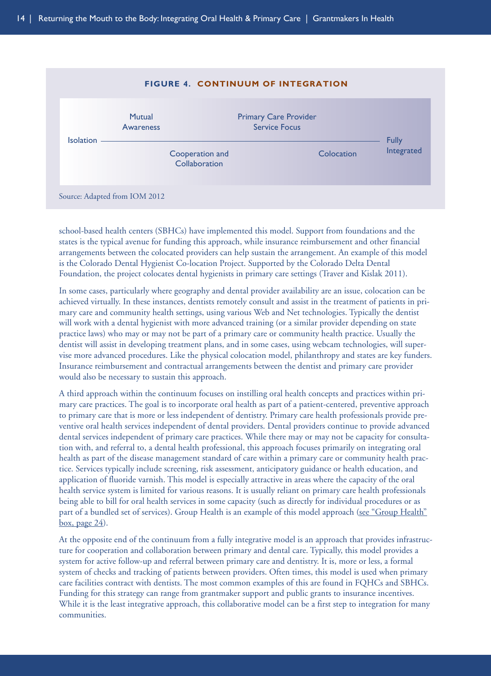

school-based health centers (SBHCs) have implemented this model. Support from foundations and the states is the typical avenue for funding this approach, while insurance reimbursement and other financial arrangements between the colocated providers can help sustain the arrangement. An example of this model is the Colorado Dental Hygienist Co-location Project. Supported by the Colorado Delta Dental Foundation, the project colocates dental hygienists in primary care settings (Traver and Kislak 2011).

In some cases, particularly where geography and dental provider availability are an issue, colocation can be achieved virtually. In these instances, dentists remotely consult and assist in the treatment of patients in primary care and community health settings, using various Web and Net technologies. Typically the dentist will work with a dental hygienist with more advanced training (or a similar provider depending on state practice laws) who may or may not be part of a primary care or community health practice. Usually the dentist will assist in developing treatment plans, and in some cases, using webcam technologies, will supervise more advanced procedures. Like the physical colocation model, philanthropy and states are key funders. Insurance reimbursement and contractual arrangements between the dentist and primary care provider would also be necessary to sustain this approach.

A third approach within the continuum focuses on instilling oral health concepts and practices within primary care practices. The goal is to incorporate oral health as part of a patient-centered, preventive approach to primary care that is more or less independent of dentistry. Primary care health professionals provide preventive oral health services independent of dental providers. Dental providers continue to provide advanced dental services independent of primary care practices. While there may or may not be capacity for consultation with, and referral to, a dental health professional, this approach focuses primarily on integrating oral health as part of the disease management standard of care within a primary care or community health practice. Services typically include screening, risk assessment, anticipatory guidance or health education, and application of fluoride varnish. This model is especially attractive in areas where the capacity of the oral health service system is limited for various reasons. It is usually reliant on primary care health professionals being able to bill for oral health services in some capacity (such as directly for individual procedures or as part of a bundled set of services). Group Health is an example of this model approach [\(see "Group Health"](#page-30-0)  $box, page 24$ ).

At the opposite end of the continuum from a fully integrative model is an approach that provides infrastructure for cooperation and collaboration between primary and dental care. Typically, this model provides a system for active follow-up and referral between primary care and dentistry. It is, more or less, a formal system of checks and tracking of patients between providers. Often times, this model is used when primary care facilities contract with dentists. The most common examples of this are found in FQHCs and SBHCs. Funding for this strategy can range from grantmaker support and public grants to insurance incentives. While it is the least integrative approach, this collaborative model can be a first step to integration for many communities.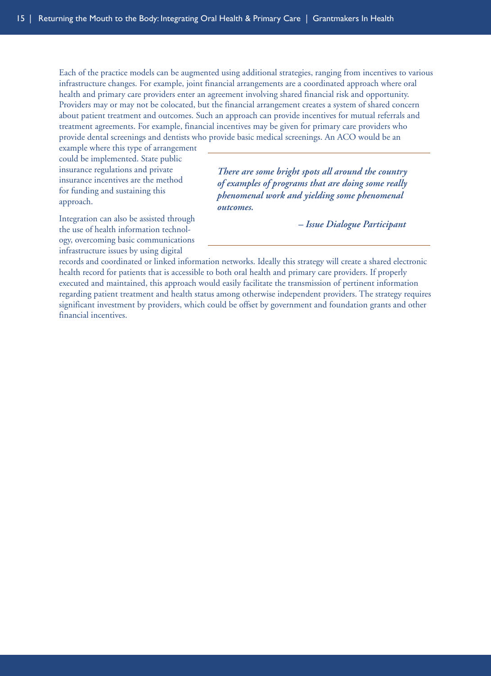Each of the practice models can be augmented using additional strategies, ranging from incentives to various infrastructure changes. For example, joint financial arrangements are a coordinated approach where oral health and primary care providers enter an agreement involving shared financial risk and opportunity. Providers may or may not be colocated, but the financial arrangement creates a system of shared concern about patient treatment and outcomes. Such an approach can provide incentives for mutual referrals and treatment agreements. For example, financial incentives may be given for primary care providers who provide dental screenings and dentists who provide basic medical screenings. An ACO would be an

example where this type of arrangement could be implemented. State public insurance regulations and private insurance incentives are the method for funding and sustaining this approach.

*There are some bright spots all around the country of examples of programs that are doing some really phenomenal work and yielding some phenomenal outcomes.*

Integration can also be assisted through the use of health information technology, overcoming basic communications infrastructure issues by using digital

*– Issue Dialogue Participant*

records and coordinated or linked information networks. Ideally this strategy will create a shared electronic health record for patients that is accessible to both oral health and primary care providers. If properly executed and maintained, this approach would easily facilitate the transmission of pertinent information regarding patient treatment and health status among otherwise independent providers. The strategy requires significant investment by providers, which could be offset by government and foundation grants and other financial incentives.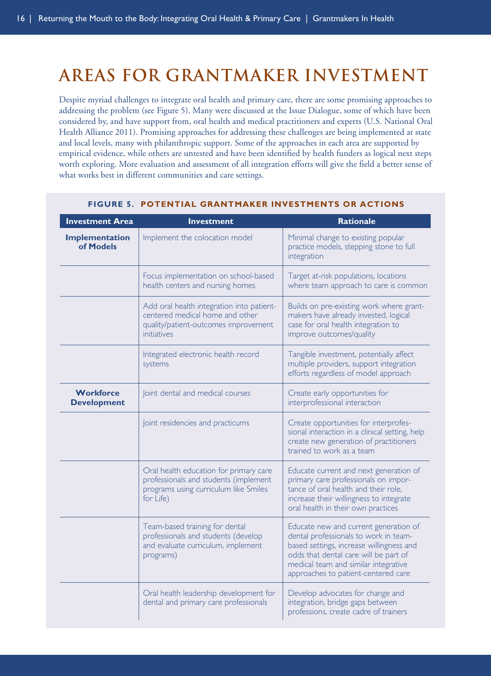# <span id="page-22-0"></span>**Areas for Grantmaker Investment**

Despite myriad challenges to integrate oral health and primary care, there are some promising approaches to addressing the problem (see Figure 5). Many were discussed at the Issue Dialogue, some of which have been considered by, and have support from, oral health and medical practitioners and experts (U.S. National Oral Health Alliance 2011). Promising approaches for addressing these challenges are being implemented at state and local levels, many with philanthropic support. Some of the approaches in each area are supported by empirical evidence, while others are untested and have been identified by health funders as logical next steps worth exploring. More evaluation and assessment of all integration efforts will give the field a better sense of what works best in different communities and care settings.

| <b>Investment Area</b>                 | <b>Investment</b>                                                                                                                     | <b>Rationale</b>                                                                                                                                                                                                                                   |
|----------------------------------------|---------------------------------------------------------------------------------------------------------------------------------------|----------------------------------------------------------------------------------------------------------------------------------------------------------------------------------------------------------------------------------------------------|
| Implementation<br>of Models            | Implement the colocation model                                                                                                        | Minimal change to existing popular<br>practice models, stepping stone to full<br>integration                                                                                                                                                       |
|                                        | Focus implementation on school-based<br>health centers and nursing homes                                                              | Target at-risk populations, locations<br>where team approach to care is common                                                                                                                                                                     |
|                                        | Add oral health integration into patient-<br>centered medical home and other<br>quality/patient-outcomes improvement<br>initiatives   | Builds on pre-existing work where grant-<br>makers have already invested, logical<br>case for oral health integration to<br>improve outcomes/quality                                                                                               |
|                                        | Integrated electronic health record<br>systems                                                                                        | Tangible investment, potentially affect<br>multiple providers, support integration<br>efforts regardless of model approach                                                                                                                         |
| <b>Workforce</b><br><b>Development</b> | Joint dental and medical courses                                                                                                      | Create early opportunities for<br>interprofessional interaction                                                                                                                                                                                    |
|                                        | Joint residencies and practicums                                                                                                      | Create opportunities for interprofes-<br>sional interaction in a clinical setting, help<br>create new generation of practitioners<br>trained to work as a team                                                                                     |
|                                        | Oral health education for primary care<br>professionals and students (implement<br>programs using curriculum like Smiles<br>for Life) | Educate current and next generation of<br>primary care professionals on impor-<br>tance of oral health and their role,<br>increase their willingness to integrate<br>oral health in their own practices                                            |
|                                        | Team-based training for dental<br>professionals and students (develop<br>and evaluate curriculum, implement<br>programs)              | Educate new and current generation of<br>dental professionals to work in team-<br>based settings, increase willingness and<br>odds that dental care will be part of<br>medical team and similar integrative<br>approaches to patient-centered care |
|                                        | Oral health leadership development for<br>dental and primary care professionals                                                       | Develop advocates for change and<br>integration, bridge gaps between<br>professions, create cadre of trainers                                                                                                                                      |

#### **FIGURE 5. POTENTIAL GRANTMAKER INVESTMENTS OR ACTIONS**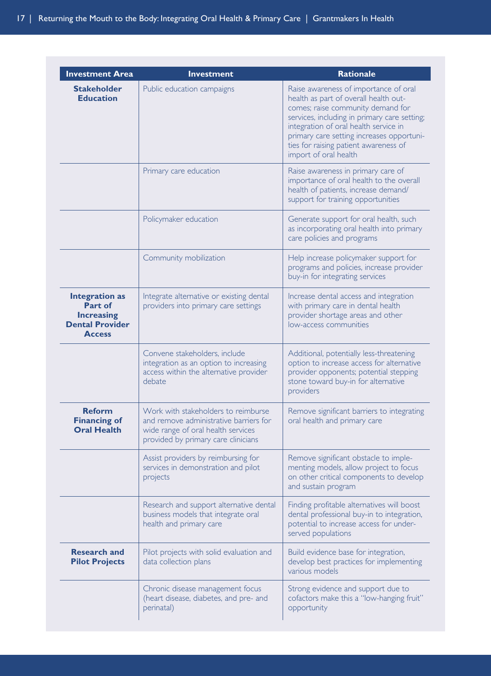| <b>Investment Area</b>                                                                           | <b>Investment</b>                                                                                                                                          | <b>Rationale</b>                                                                                                                                                                                                                                                                                                            |
|--------------------------------------------------------------------------------------------------|------------------------------------------------------------------------------------------------------------------------------------------------------------|-----------------------------------------------------------------------------------------------------------------------------------------------------------------------------------------------------------------------------------------------------------------------------------------------------------------------------|
| <b>Stakeholder</b><br><b>Education</b>                                                           | Public education campaigns                                                                                                                                 | Raise awareness of importance of oral<br>health as part of overall health out-<br>comes; raise community demand for<br>services, including in primary care setting;<br>integration of oral health service in<br>primary care setting increases opportuni-<br>ties for raising patient awareness of<br>import of oral health |
|                                                                                                  | Primary care education                                                                                                                                     | Raise awareness in primary care of<br>importance of oral health to the overall<br>health of patients, increase demand/<br>support for training opportunities                                                                                                                                                                |
|                                                                                                  | Policymaker education                                                                                                                                      | Generate support for oral health, such<br>as incorporating oral health into primary<br>care policies and programs                                                                                                                                                                                                           |
|                                                                                                  | Community mobilization                                                                                                                                     | Help increase policymaker support for<br>programs and policies, increase provider<br>buy-in for integrating services                                                                                                                                                                                                        |
| <b>Integration as</b><br>Part of<br><b>Increasing</b><br><b>Dental Provider</b><br><b>Access</b> | Integrate alternative or existing dental<br>providers into primary care settings                                                                           | Increase dental access and integration<br>with primary care in dental health<br>provider shortage areas and other<br>low-access communities                                                                                                                                                                                 |
|                                                                                                  | Convene stakeholders, include<br>integration as an option to increasing<br>access within the alternative provider<br>debate                                | Additional, potentially less-threatening<br>option to increase access for alternative<br>provider opponents; potential stepping<br>stone toward buy-in for alternative<br>providers                                                                                                                                         |
| <b>Reform</b><br><b>Financing of</b><br><b>Oral Health</b>                                       | Work with stakeholders to reimburse<br>and remove administrative barriers for<br>wide range of oral health services<br>provided by primary care clinicians | Remove significant barriers to integrating<br>oral health and primary care                                                                                                                                                                                                                                                  |
|                                                                                                  | Assist providers by reimbursing for<br>services in demonstration and pilot<br>projects                                                                     | Remove significant obstacle to imple-<br>menting models, allow project to focus<br>on other critical components to develop<br>and sustain program                                                                                                                                                                           |
|                                                                                                  | Research and support alternative dental<br>business models that integrate oral<br>health and primary care                                                  | Finding profitable alternatives will boost<br>dental professional buy-in to integration,<br>potential to increase access for under-<br>served populations                                                                                                                                                                   |
| <b>Research and</b><br><b>Pilot Projects</b>                                                     | Pilot projects with solid evaluation and<br>data collection plans                                                                                          | Build evidence base for integration,<br>develop best practices for implementing<br>various models                                                                                                                                                                                                                           |
|                                                                                                  | Chronic disease management focus<br>(heart disease, diabetes, and pre- and<br>perinatal)                                                                   | Strong evidence and support due to<br>cofactors make this a "low-hanging fruit"<br>opportunity                                                                                                                                                                                                                              |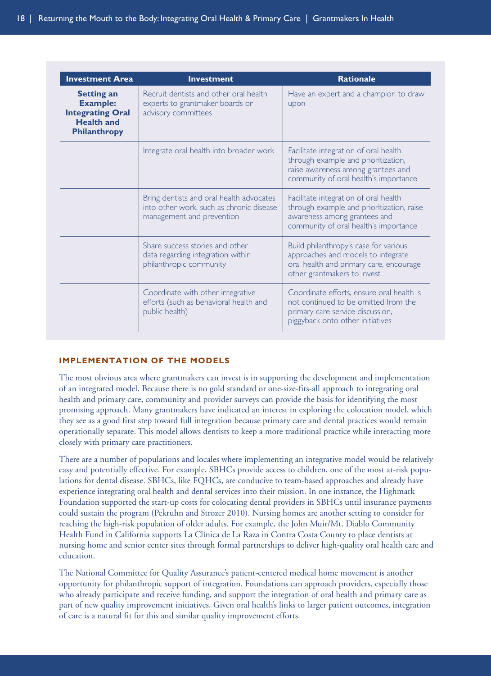<span id="page-24-0"></span>

| <b>Investment Area</b>                                                                               | <b>Investment</b>                                                                                                 | <b>Rationale</b>                                                                                                                                            |
|------------------------------------------------------------------------------------------------------|-------------------------------------------------------------------------------------------------------------------|-------------------------------------------------------------------------------------------------------------------------------------------------------------|
| <b>Setting an</b><br><b>Example:</b><br><b>Integrating Oral</b><br><b>Health and</b><br>Philanthropy | Recruit dentists and other oral health<br>experts to grantmaker boards or<br>advisory committees                  | Have an expert and a champion to draw<br>upon                                                                                                               |
|                                                                                                      | Integrate oral health into broader work                                                                           | Facilitate integration of oral health<br>through example and prioritization,<br>raise awareness among grantees and<br>community of oral health's importance |
|                                                                                                      | Bring dentists and oral health advocates<br>into other work, such as chronic disease<br>management and prevention | Facilitate integration of oral health<br>through example and prioritization, raise<br>awareness among grantees and<br>community of oral health's importance |
|                                                                                                      | Share success stories and other<br>data regarding integration within<br>philanthropic community                   | Build philanthropy's case for various<br>approaches and models to integrate<br>oral health and primary care, encourage<br>other grantmakers to invest       |
|                                                                                                      | Coordinate with other integrative<br>efforts (such as behavioral health and<br>public health)                     | Coordinate efforts, ensure oral health is<br>not continued to be omitted from the<br>primary care service discussion,<br>piggyback onto other initiatives   |

#### **IMPLEMENTATION OF THE MODELS**

The most obvious area where grantmakers can invest is in supporting the development and implementation of an integrated model. Because there is no gold standard or one-size-fits-all approach to integrating oral health and primary care, community and provider surveys can provide the basis for identifying the most promising approach. Many grantmakers have indicated an interest in exploring the colocation model, which they see as a good first step toward full integration because primary care and dental practices would remain operationally separate. This model allows dentists to keep a more traditional practice while interacting more closely with primary care practitioners.

There are a number of populations and locales where implementing an integrative model would be relatively easy and potentially effective. For example, SBHCs provide access to children, one of the most at-risk populations for dental disease. SBHCs, like FQHCs, are conducive to team-based approaches and already have experience integrating oral health and dental services into their mission. In one instance, the Highmark Foundation supported the start-up costs for colocating dental providers in SBHCs until insurance payments could sustain the program (Pekruhn and Strozer 2010). Nursing homes are another setting to consider for reaching the high-risk population of older adults. For example, the John Muir/Mt. Diablo Community Health Fund in California supports La Clínica de La Raza in Contra Costa County to place dentists at nursing home and senior center sites through formal partnerships to deliver high-quality oral health care and education.

The National Committee for Quality Assurance's patient-centered medical home movement is another opportunity for philanthropic support of integration. Foundations can approach providers, especially those who already participate and receive funding, and support the integration of oral health and primary care as part of new quality improvement initiatives. Given oral health's links to larger patient outcomes, integration of care is a natural fit for this and similar quality improvement efforts.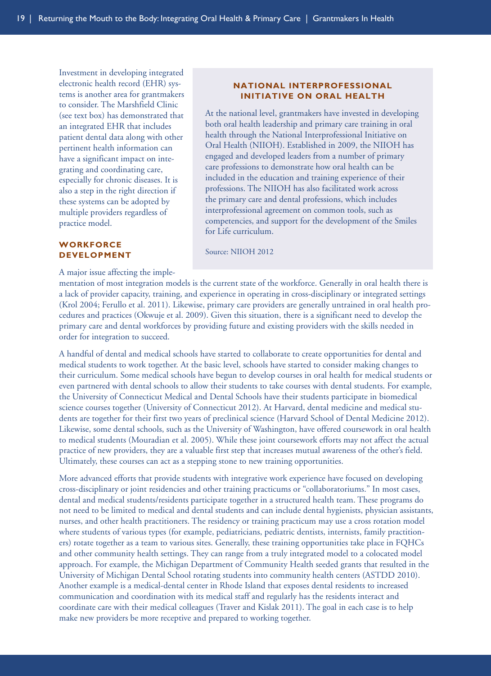Investment in developing integrated electronic health record (EHR) systems is another area for grantmakers to consider. The Marshfield Clinic (see text box) has demonstrated that an integrated EHR that includes patient dental data along with other pertinent health information can have a significant impact on integrating and coordinating care, especially for chronic diseases. It is also a step in the right direction if these systems can be adopted by multiple providers regardless of practice model.

#### **WORKFORCE DEVELOPMENT**

A major issue affecting the imple-

#### <span id="page-25-0"></span>**NATIONAL INTERPROFESSIONAL INITIATIVE ON ORAL HEALTH**

At the national level, grantmakers have invested in developing both oral health leadership and primary care training in oral health through the National Interprofessional Initiative on Oral Health (NIIOH). Established in 2009, the NIIOH has engaged and developed leaders from a number of primary care professions to demonstrate how oral health can be included in the education and training experience of their professions. The NIIOH has also facilitated work across the primary care and dental professions, which includes interprofessional agreement on common tools, such as competencies, and support for the development of the Smiles for Life curriculum.

Source: NIIOH 2012

mentation of most integration models is the current state of the workforce. Generally in oral health there is a lack of provider capacity, training, and experience in operating in cross-disciplinary or integrated settings (Krol 2004; Ferullo et al. 2011). Likewise, primary care providers are generally untrained in oral health procedures and practices (Okwuje et al. 2009). Given this situation, there is a significant need to develop the primary care and dental workforces by providing future and existing providers with the skills needed in order for integration to succeed.

A handful of dental and medical schools have started to collaborate to create opportunities for dental and medical students to work together. At the basic level, schools have started to consider making changes to their curriculum. Some medical schools have begun to develop courses in oral health for medical students or even partnered with dental schools to allow their students to take courses with dental students. For example, the University of Connecticut Medical and Dental Schools have their students participate in biomedical science courses together (University of Connecticut 2012). At Harvard, dental medicine and medical students are together for their first two years of preclinical science (Harvard School of Dental Medicine 2012). Likewise, some dental schools, such as the University of Washington, have offered coursework in oral health to medical students (Mouradian et al. 2005). While these joint coursework efforts may not affect the actual practice of new providers, they are a valuable first step that increases mutual awareness of the other's field. Ultimately, these courses can act as a stepping stone to new training opportunities.

More advanced efforts that provide students with integrative work experience have focused on developing cross-disciplinary or joint residencies and other training practicums or "collaboratoriums." In most cases, dental and medical students/residents participate together in a structured health team. These programs do not need to be limited to medical and dental students and can include dental hygienists, physician assistants, nurses, and other health practitioners. The residency or training practicum may use a cross rotation model where students of various types (for example, pediatricians, pediatric dentists, internists, family practitioners) rotate together as a team to various sites. Generally, these training opportunities take place in FQHCs and other community health settings. They can range from a truly integrated model to a colocated model approach. For example, the Michigan Department of Community Health seeded grants that resulted in the University of Michigan Dental School rotating students into community health centers (ASTDD 2010). Another example is a medical-dental center in Rhode Island that exposes dental residents to increased communication and coordination with its medical staff and regularly has the residents interact and coordinate care with their medical colleagues (Traver and Kislak 2011). The goal in each case is to help make new providers be more receptive and prepared to working together.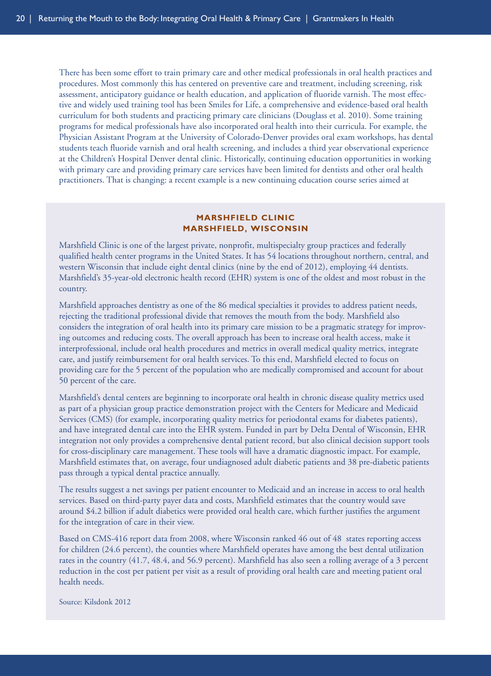There has been some effort to train primary care and other medical professionals in oral health practices and procedures. Most commonly this has centered on preventive care and treatment, including screening, risk assessment, anticipatory guidance or health education, and application of fluoride varnish. The most effective and widely used training tool has been Smiles for Life, a comprehensive and evidence-based oral health curriculum for both students and practicing primary care clinicians (Douglass et al. 2010). Some training programs for medical professionals have also incorporated oral health into their curricula. For example, the Physician Assistant Program at the University of Colorado-Denver provides oral exam workshops, has dental students teach fluoride varnish and oral health screening, and includes a third year observational experience at the Children's Hospital Denver dental clinic. Historically, continuing education opportunities in working with primary care and providing primary care services have been limited for dentists and other oral health practitioners. That is changing: a recent example is a new continuing education course series aimed at

#### **MARSHFIELD CLINIC MARSHFIELD, WISCONSIN**

Marshfield Clinic is one of the largest private, nonprofit, multispecialty group practices and federally qualified health center programs in the United States. It has 54 locations throughout northern, central, and western Wisconsin that include eight dental clinics (nine by the end of 2012), employing 44 dentists. Marshfield's 35-year-old electronic health record (EHR) system is one of the oldest and most robust in the country.

Marshfield approaches dentistry as one of the 86 medical specialties it provides to address patient needs, rejecting the traditional professional divide that removes the mouth from the body. Marshfield also considers the integration of oral health into its primary care mission to be a pragmatic strategy for improving outcomes and reducing costs. The overall approach has been to increase oral health access, make it interprofessional, include oral health procedures and metrics in overall medical quality metrics, integrate care, and justify reimbursement for oral health services. To this end, Marshfield elected to focus on providing care for the 5 percent of the population who are medically compromised and account for about 50 percent of the care.

Marshfield's dental centers are beginning to incorporate oral health in chronic disease quality metrics used as part of a physician group practice demonstration project with the Centers for Medicare and Medicaid Services (CMS) (for example, incorporating quality metrics for periodontal exams for diabetes patients), and have integrated dental care into the EHR system. Funded in part by Delta Dental of Wisconsin, EHR integration not only provides a comprehensive dental patient record, but also clinical decision support tools for cross-disciplinary care management. These tools will have a dramatic diagnostic impact. For example, Marshfield estimates that, on average, four undiagnosed adult diabetic patients and 38 pre-diabetic patients pass through a typical dental practice annually.

The results suggest a net savings per patient encounter to Medicaid and an increase in access to oral health services. Based on third-party payer data and costs, Marshfield estimates that the country would save around \$4.2 billion if adult diabetics were provided oral health care, which further justifies the argument for the integration of care in their view.

Based on CMS-416 report data from 2008, where Wisconsin ranked 46 out of 48 states reporting access for children (24.6 percent), the counties where Marshfield operates have among the best dental utilization rates in the country (41.7, 48.4, and 56.9 percent). Marshfield has also seen a rolling average of a 3 percent reduction in the cost per patient per visit as a result of providing oral health care and meeting patient oral health needs.

Source: Kilsdonk 2012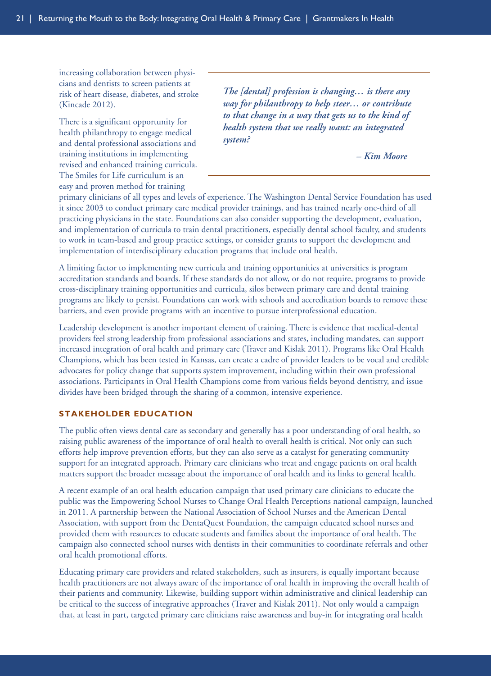increasing collaboration between physicians and dentists to screen patients at risk of heart disease, diabetes, and stroke (Kincade 2012).

There is a significant opportunity for health philanthropy to engage medical and dental professional associations and training institutions in implementing revised and enhanced training curricula. The Smiles for Life curriculum is an easy and proven method for training

*The [dental] profession is changing… is there any way for philanthropy to help steer… or contribute to that change in a way that gets us to the kind of health system that we really want: an integrated system?*

<span id="page-27-0"></span>*– Kim Moore*

primary clinicians of all types and levels of experience. The Washington Dental Service Foundation has used it since 2003 to conduct primary care medical provider trainings, and has trained nearly one-third of all practicing physicians in the state. Foundations can also consider supporting the development, evaluation, and implementation of curricula to train dental practitioners, especially dental school faculty, and students to work in team-based and group practice settings, or consider grants to support the development and implementation of interdisciplinary education programs that include oral health.

A limiting factor to implementing new curricula and training opportunities at universities is program accreditation standards and boards. If these standards do not allow, or do not require, programs to provide cross-disciplinary training opportunities and curricula, silos between primary care and dental training programs are likely to persist. Foundations can work with schools and accreditation boards to remove these barriers, and even provide programs with an incentive to pursue interprofessional education.

Leadership development is another important element of training. There is evidence that medical-dental providers feel strong leadership from professional associations and states, including mandates, can support increased integration of oral health and primary care (Traver and Kislak 2011). Programs like Oral Health Champions, which has been tested in Kansas, can create a cadre of provider leaders to be vocal and credible advocates for policy change that supports system improvement, including within their own professional associations. Participants in Oral Health Champions come from various fields beyond dentistry, and issue divides have been bridged through the sharing of a common, intensive experience.

#### **STAKEHOLDER EDUCATION**

The public often views dental care as secondary and generally has a poor understanding of oral health, so raising public awareness of the importance of oral health to overall health is critical. Not only can such efforts help improve prevention efforts, but they can also serve as a catalyst for generating community support for an integrated approach. Primary care clinicians who treat and engage patients on oral health matters support the broader message about the importance of oral health and its links to general health.

A recent example of an oral health education campaign that used primary care clinicians to educate the public was the Empowering School Nurses to Change Oral Health Perceptions national campaign, launched in 2011. A partnership between the National Association of School Nurses and the American Dental Association, with support from the DentaQuest Foundation, the campaign educated school nurses and provided them with resources to educate students and families about the importance of oral health. The campaign also connected school nurses with dentists in their communities to coordinate referrals and other oral health promotional efforts.

Educating primary care providers and related stakeholders, such as insurers, is equally important because health practitioners are not always aware of the importance of oral health in improving the overall health of their patients and community. Likewise, building support within administrative and clinical leadership can be critical to the success of integrative approaches (Traver and Kislak 2011). Not only would a campaign that, at least in part, targeted primary care clinicians raise awareness and buy-in for integrating oral health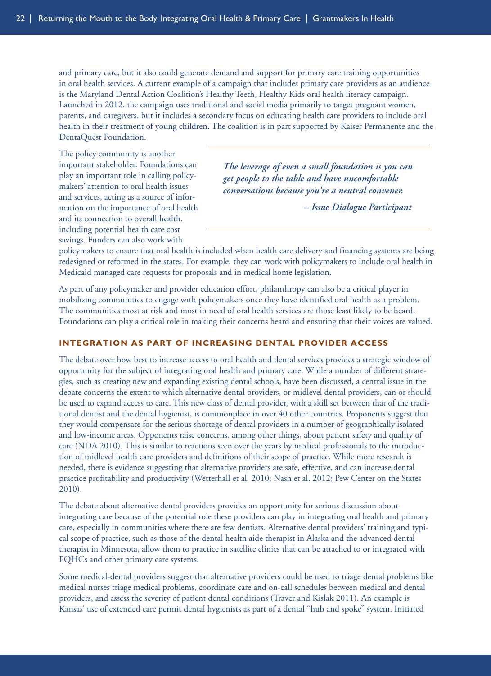and primary care, but it also could generate demand and support for primary care training opportunities in oral health services. A current example of a campaign that includes primary care providers as an audience is the Maryland Dental Action Coalition's Healthy Teeth, Healthy Kids oral health literacy campaign. Launched in 2012, the campaign uses traditional and social media primarily to target pregnant women, parents, and caregivers, but it includes a secondary focus on educating health care providers to include oral health in their treatment of young children. The coalition is in part supported by Kaiser Permanente and the DentaQuest Foundation.

The policy community is another important stakeholder. Foundations can play an important role in calling policymakers' attention to oral health issues and services, acting as a source of information on the importance of oral health and its connection to overall health, including potential health care cost savings. Funders can also work with

*The leverage of even a small foundation is you can get people to the table and have uncomfortable conversations because you're a neutral convener.*

<span id="page-28-0"></span>*– Issue Dialogue Participant*

policymakers to ensure that oral health is included when health care delivery and financing systems are being redesigned or reformed in the states. For example, they can work with policymakers to include oral health in Medicaid managed care requests for proposals and in medical home legislation.

As part of any policymaker and provider education effort, philanthropy can also be a critical player in mobilizing communities to engage with policymakers once they have identified oral health as a problem. The communities most at risk and most in need of oral health services are those least likely to be heard. Foundations can play a critical role in making their concerns heard and ensuring that their voices are valued.

#### **INTEGRATION AS PART OF INCREASING DENTAL PROVIDER ACCESS**

The debate over how best to increase access to oral health and dental services provides a strategic window of opportunity for the subject of integrating oral health and primary care. While a number of different strategies, such as creating new and expanding existing dental schools, have been discussed, a central issue in the debate concerns the extent to which alternative dental providers, or midlevel dental providers, can or should be used to expand access to care. This new class of dental provider, with a skill set between that of the traditional dentist and the dental hygienist, is commonplace in over 40 other countries. Proponents suggest that they would compensate for the serious shortage of dental providers in a number of geographically isolated and low-income areas. Opponents raise concerns, among other things, about patient safety and quality of care (NDA 2010). This is similar to reactions seen over the years by medical professionals to the introduction of midlevel health care providers and definitions of their scope of practice. While more research is needed, there is evidence suggesting that alternative providers are safe, effective, and can increase dental practice profitability and productivity (Wetterhall et al. 2010; Nash et al. 2012; Pew Center on the States 2010).

The debate about alternative dental providers provides an opportunity for serious discussion about integrating care because of the potential role these providers can play in integrating oral health and primary care, especially in communities where there are few dentists. Alternative dental providers' training and typical scope of practice, such as those of the dental health aide therapist in Alaska and the advanced dental therapist in Minnesota, allow them to practice in satellite clinics that can be attached to or integrated with FQHCs and other primary care systems.

Some medical-dental providers suggest that alternative providers could be used to triage dental problems like medical nurses triage medical problems, coordinate care and on-call schedules between medical and dental providers, and assess the severity of patient dental conditions (Traver and Kislak 2011). An example is Kansas' use of extended care permit dental hygienists as part of a dental "hub and spoke" system. Initiated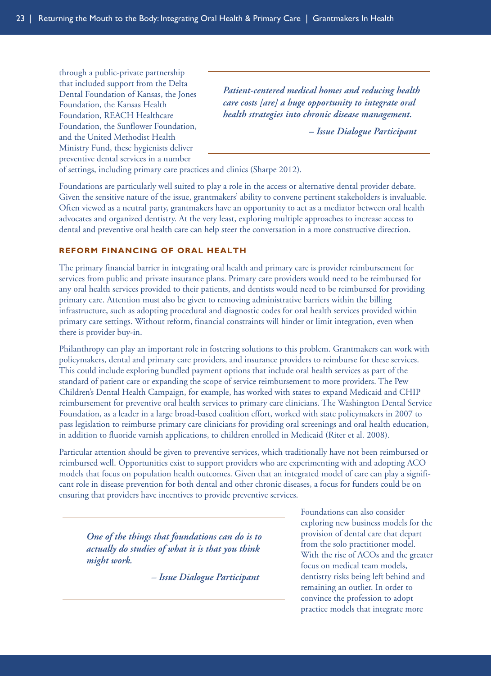through a public-private partnership that included support from the Delta Dental Foundation of Kansas, the Jones Foundation, the Kansas Health Foundation, REACH Healthcare Foundation, the Sunflower Foundation, and the United Methodist Health Ministry Fund, these hygienists deliver preventive dental services in a number

*Patient-centered medical homes and reducing health care costs [are] a huge opportunity to integrate oral health strategies into chronic disease management.*

<span id="page-29-0"></span>*– Issue Dialogue Participant*

of settings, including primary care practices and clinics (Sharpe 2012).

Foundations are particularly well suited to play a role in the access or alternative dental provider debate. Given the sensitive nature of the issue, grantmakers' ability to convene pertinent stakeholders is invaluable. Often viewed as a neutral party, grantmakers have an opportunity to act as a mediator between oral health advocates and organized dentistry. At the very least, exploring multiple approaches to increase access to dental and preventive oral health care can help steer the conversation in a more constructive direction.

#### **REFORM FINANCING OF ORAL HEALTH**

The primary financial barrier in integrating oral health and primary care is provider reimbursement for services from public and private insurance plans. Primary care providers would need to be reimbursed for any oral health services provided to their patients, and dentists would need to be reimbursed for providing primary care. Attention must also be given to removing administrative barriers within the billing infrastructure, such as adopting procedural and diagnostic codes for oral health services provided within primary care settings. Without reform, financial constraints will hinder or limit integration, even when there is provider buy-in.

Philanthropy can play an important role in fostering solutions to this problem. Grantmakers can work with policymakers, dental and primary care providers, and insurance providers to reimburse for these services. This could include exploring bundled payment options that include oral health services as part of the standard of patient care or expanding the scope of service reimbursement to more providers. The Pew Children's Dental Health Campaign, for example, has worked with states to expand Medicaid and CHIP reimbursement for preventive oral health services to primary care clinicians. The Washington Dental Service Foundation, as a leader in a large broad-based coalition effort, worked with state policymakers in 2007 to pass legislation to reimburse primary care clinicians for providing oral screenings and oral health education, in addition to fluoride varnish applications, to children enrolled in Medicaid (Riter et al. 2008).

Particular attention should be given to preventive services, which traditionally have not been reimbursed or reimbursed well. Opportunities exist to support providers who are experimenting with and adopting ACO models that focus on population health outcomes. Given that an integrated model of care can play a significant role in disease prevention for both dental and other chronic diseases, a focus for funders could be on ensuring that providers have incentives to provide preventive services.

*One of the things that foundations can do is to actually do studies of what it is that you think might work.*

*– Issue Dialogue Participant*

Foundations can also consider exploring new business models for the provision of dental care that depart from the solo practitioner model. With the rise of ACOs and the greater focus on medical team models, dentistry risks being left behind and remaining an outlier. In order to convince the profession to adopt practice models that integrate more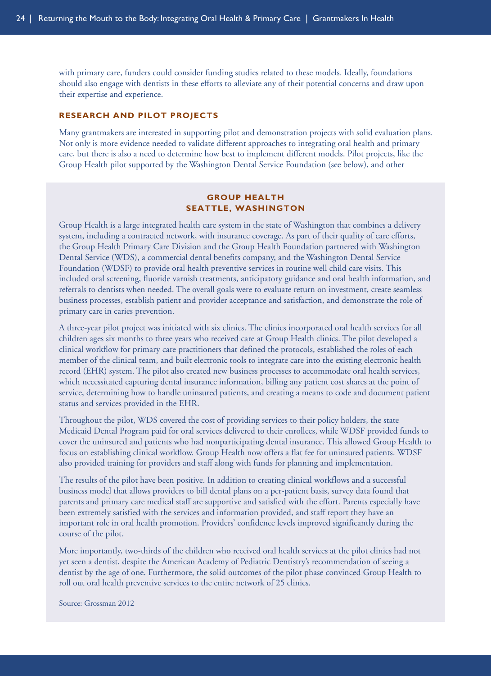with primary care, funders could consider funding studies related to these models. Ideally, foundations should also engage with dentists in these efforts to alleviate any of their potential concerns and draw upon their expertise and experience.

#### **RESEARCH AND PILOT PROJECTS**

Many grantmakers are interested in supporting pilot and demonstration projects with solid evaluation plans. Not only is more evidence needed to validate different approaches to integrating oral health and primary care, but there is also a need to determine how best to implement different models. Pilot projects, like the Group Health pilot supported by the Washington Dental Service Foundation (see below), and other

#### <span id="page-30-0"></span>**GROUP HEALTH SEATTLE, WASHINGTON**

Group Health is a large integrated health care system in the state of Washington that combines a delivery system, including a contracted network, with insurance coverage. As part of their quality of care efforts, the Group Health Primary Care Division and the Group Health Foundation partnered with Washington Dental Service (WDS), a commercial dental benefits company, and the Washington Dental Service Foundation (WDSF) to provide oral health preventive services in routine well child care visits. This included oral screening, fluoride varnish treatments, anticipatory guidance and oral health information, and referrals to dentists when needed. The overall goals were to evaluate return on investment, create seamless business processes, establish patient and provider acceptance and satisfaction, and demonstrate the role of primary care in caries prevention.

A three-year pilot project was initiated with six clinics. The clinics incorporated oral health services for all children ages six months to three years who received care at Group Health clinics. The pilot developed a clinical workflow for primary care practitioners that defined the protocols, established the roles of each member of the clinical team, and built electronic tools to integrate care into the existing electronic health record (EHR) system. The pilot also created new business processes to accommodate oral health services, which necessitated capturing dental insurance information, billing any patient cost shares at the point of service, determining how to handle uninsured patients, and creating a means to code and document patient status and services provided in the EHR.

Throughout the pilot, WDS covered the cost of providing services to their policy holders, the state Medicaid Dental Program paid for oral services delivered to their enrollees, while WDSF provided funds to cover the uninsured and patients who had nonparticipating dental insurance. This allowed Group Health to focus on establishing clinical workflow. Group Health now offers a flat fee for uninsured patients. WDSF also provided training for providers and staff along with funds for planning and implementation.

The results of the pilot have been positive. In addition to creating clinical workflows and a successful business model that allows providers to bill dental plans on a per-patient basis, survey data found that parents and primary care medical staff are supportive and satisfied with the effort. Parents especially have been extremely satisfied with the services and information provided, and staff report they have an important role in oral health promotion. Providers' confidence levels improved significantly during the course of the pilot.

More importantly, two-thirds of the children who received oral health services at the pilot clinics had not yet seen a dentist, despite the American Academy of Pediatric Dentistry's recommendation of seeing a dentist by the age of one. Furthermore, the solid outcomes of the pilot phase convinced Group Health to roll out oral health preventive services to the entire network of 25 clinics.

Source: Grossman 2012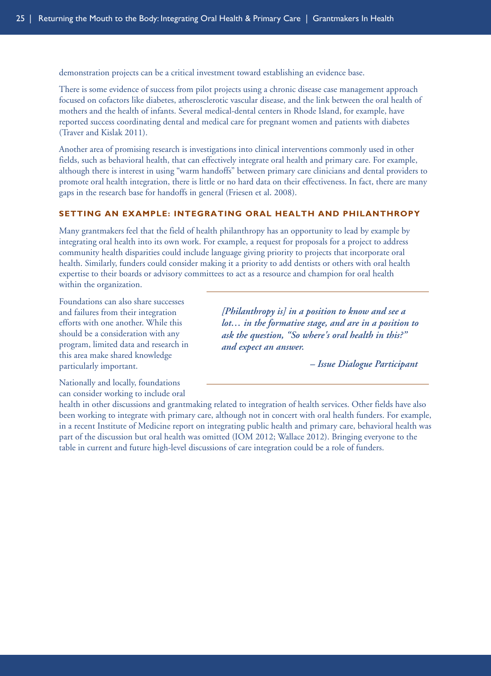demonstration projects can be a critical investment toward establishing an evidence base.

There is some evidence of success from pilot projects using a chronic disease case management approach focused on cofactors like diabetes, atherosclerotic vascular disease, and the link between the oral health of mothers and the health of infants. Several medical-dental centers in Rhode Island, for example, have reported success coordinating dental and medical care for pregnant women and patients with diabetes (Traver and Kislak 2011).

Another area of promising research is investigations into clinical interventions commonly used in other fields, such as behavioral health, that can effectively integrate oral health and primary care. For example, although there is interest in using "warm handoffs" between primary care clinicians and dental providers to promote oral health integration, there is little or no hard data on their effectiveness. In fact, there are many gaps in the research base for handoffs in general (Friesen et al. 2008).

#### **SETTING AN EXAMPLE: INTEGRATING ORAL HEALTH AND PHILANTHROPY**

Many grantmakers feel that the field of health philanthropy has an opportunity to lead by example by integrating oral health into its own work. For example, a request for proposals for a project to address community health disparities could include language giving priority to projects that incorporate oral health. Similarly, funders could consider making it a priority to add dentists or others with oral health expertise to their boards or advisory committees to act as a resource and champion for oral health within the organization.

Foundations can also share successes and failures from their integration efforts with one another. While this should be a consideration with any program, limited data and research in this area make shared knowledge particularly important.

*[Philanthropy is] in a position to know and see a lot… in the formative stage, and are in a position to ask the question, "So where's oral health in this?" and expect an answer.*

<span id="page-31-0"></span>*– Issue Dialogue Participant*

Nationally and locally, foundations can consider working to include oral

health in other discussions and grantmaking related to integration of health services. Other fields have also been working to integrate with primary care, although not in concert with oral health funders. For example, in a recent Institute of Medicine report on integrating public health and primary care, behavioral health was part of the discussion but oral health was omitted (IOM 2012; Wallace 2012). Bringing everyone to the table in current and future high-level discussions of care integration could be a role of funders.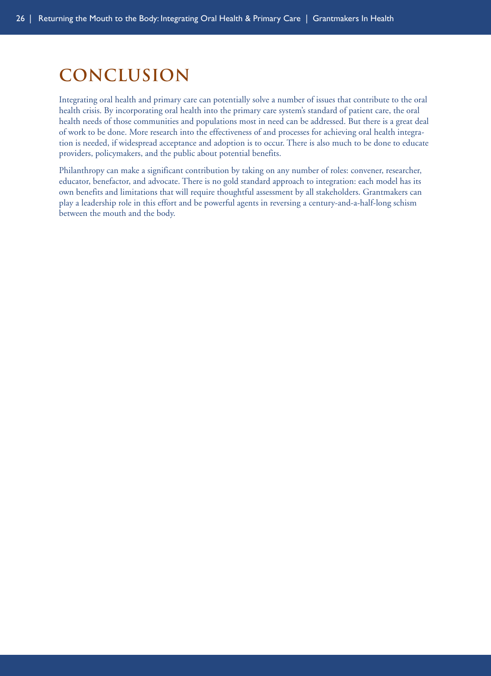# <span id="page-32-0"></span>**conclusion**

Integrating oral health and primary care can potentially solve a number of issues that contribute to the oral health crisis. By incorporating oral health into the primary care system's standard of patient care, the oral health needs of those communities and populations most in need can be addressed. But there is a great deal of work to be done. More research into the effectiveness of and processes for achieving oral health integration is needed, if widespread acceptance and adoption is to occur. There is also much to be done to educate providers, policymakers, and the public about potential benefits.

Philanthropy can make a significant contribution by taking on any number of roles: convener, researcher, educator, benefactor, and advocate. There is no gold standard approach to integration: each model has its own benefits and limitations that will require thoughtful assessment by all stakeholders. Grantmakers can play a leadership role in this effort and be powerful agents in reversing a century-and-a-half-long schism between the mouth and the body.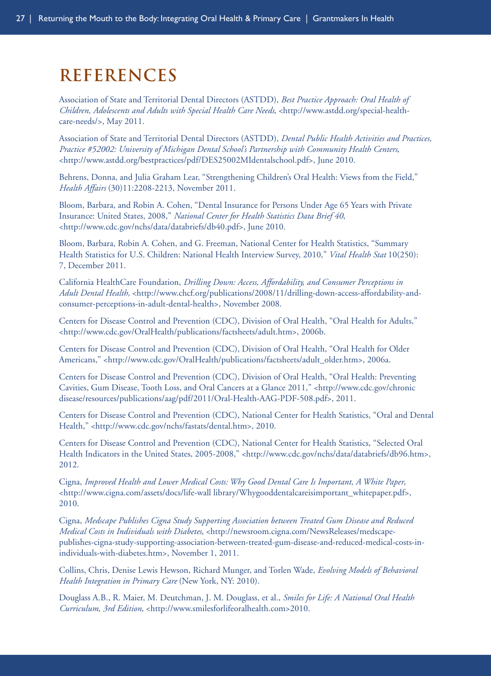## <span id="page-33-0"></span>**References**

Association of State and Territorial Dental Directors (ASTDD), *Best Practice Approach: Oral Health of Children, Adolescents and Adults with Special Health Care Needs*, <http://www.astdd.org/special-healthcare-needs/>, May 2011.

Association of State and Territorial Dental Directors (ASTDD), *Dental Public Health Activities and Practices, Practice #52002: University of Michigan Dental School's Partnership with Community Health Centers*, <http://www.astdd.org/bestpractices/pdf/DES25002MIdentalschool.pdf>, June 2010.

Behrens, Donna, and Julia Graham Lear, "Strengthening Children's Oral Health: Views from the Field," *Health Affairs* (30)11:2208-2213, November 2011.

Bloom, Barbara, and Robin A. Cohen, "Dental Insurance for Persons Under Age 65 Years with Private Insurance: United States, 2008," *National Center for Health Statistics Data Brief 40*, <http://www.cdc.gov/nchs/data/databriefs/db40.pdf>, June 2010.

Bloom, Barbara, Robin A. Cohen, and G. Freeman, National Center for Health Statistics, "Summary Health Statistics for U.S. Children: National Health Interview Survey, 2010," *Vital Health Stat* 10(250): 7, December 2011.

California HealthCare Foundation, *Drilling Down: Access, Affordability, and Consumer Perceptions in Adult Dental Health,* <http://www.chcf.org/publications/2008/11/drilling-down-access-affordability-andconsumer-perceptions-in-adult-dental-health>, November 2008.

Centers for Disease Control and Prevention (CDC), Division of Oral Health, "Oral Health for Adults," <http://www.cdc.gov/OralHealth/publications/factsheets/adult.htm>, 2006b.

Centers for Disease Control and Prevention (CDC), Division of Oral Health, "Oral Health for Older Americans," <http://www.cdc.gov/OralHealth/publications/factsheets/adult\_older.htm>, 2006a.

Centers for Disease Control and Prevention (CDC), Division of Oral Health, "Oral Health: Preventing Cavities, Gum Disease, Tooth Loss, and Oral Cancers at a Glance 2011," <http://www.cdc.gov/chronic disease/resources/publications/aag/pdf/2011/Oral-Health-AAG-PDF-508.pdf>, 2011.

Centers for Disease Control and Prevention (CDC), National Center for Health Statistics, "Oral and Dental Health," <http://www.cdc.gov/nchs/fastats/dental.htm>, 2010.

Centers for Disease Control and Prevention (CDC), National Center for Health Statistics, "Selected Oral Health Indicators in the United States, 2005-2008," <http://www.cdc.gov/nchs/data/databriefs/db96.htm>, 2012.

Cigna, *Improved Health and Lower Medical Costs: Why Good Dental Care Is Important, A White Paper*, <http://www.cigna.com/assets/docs/life-wall library/Whygooddentalcareisimportant\_whitepaper.pdf>, 2010.

Cigna, *Medscape Publishes Cigna Study Supporting Association between Treated Gum Disease and Reduced Medical Costs in Individuals with Diabetes*, <http://newsroom.cigna.com/NewsReleases/medscapepublishes-cigna-study-supporting-association-between-treated-gum-disease-and-reduced-medical-costs-inindividuals-with-diabetes.htm>, November 1, 2011.

Collins, Chris, Denise Lewis Hewson, Richard Munger, and Torlen Wade, *Evolving Models of Behavioral Health Integration in Primary Care* (New York, NY: 2010).

Douglass A.B., R. Maier, M. Deutchman, J. M. Douglass, et al., *Smiles for Life: A National Oral Health Curriculum*, *3rd Edition*, <http://www.smilesforlifeoralhealth.com>2010.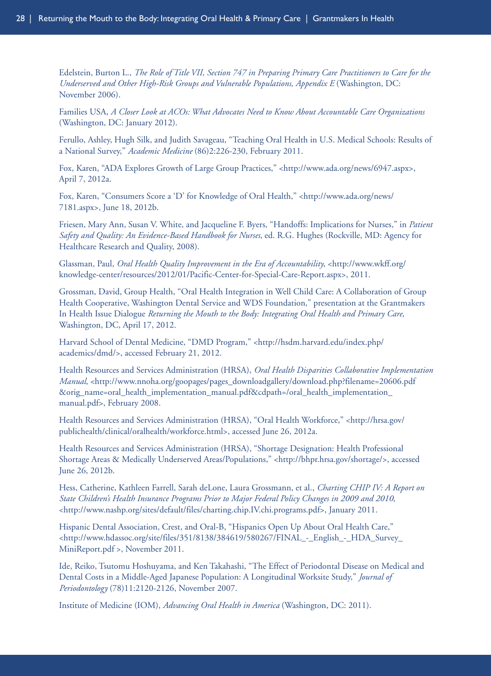Edelstein, Burton L., *The Role of Title VII, Section 747 in Preparing Primary Care Practitioners to Care for the Underserved and Other High-Risk Groups and Vulnerable Populations, Appendix E* (Washington, DC: November 2006).

Families USA, *A Closer Look at ACOs: What Advocates Need to Know About Accountable Care Organizations* (Washington, DC: January 2012).

Ferullo, Ashley, Hugh Silk, and Judith Savageau, "Teaching Oral Health in U.S. Medical Schools: Results of a National Survey," *Academic Medicine* (86)2:226-230, February 2011.

Fox, Karen, "ADA Explores Growth of Large Group Practices," <http://www.ada.org/news/6947.aspx>, April 7, 2012a.

Fox, Karen, "Consumers Score a 'D' for Knowledge of Oral Health," <http://www.ada.org/news/ 7181.aspx>, June 18, 2012b.

Friesen, Mary Ann, Susan V. White, and Jacqueline F. Byers, "Handoffs: Implications for Nurses," in *Patient Safety and Quality: An Evidence-Based Handbook for Nurses*, ed. R.G. Hughes (Rockville, MD: Agency for Healthcare Research and Quality, 2008).

Glassman, Paul, *Oral Health Quality Improvement in the Era of Accountability*, <http://www.wkff.org/ knowledge-center/resources/2012/01/Pacific-Center-for-Special-Care-Report.aspx>, 2011.

Grossman, David, Group Health, "Oral Health Integration in Well Child Care: A Collaboration of Group Health Cooperative, Washington Dental Service and WDS Foundation," presentation at the Grantmakers In Health Issue Dialogue *Returning the Mouth to the Body: Integrating Oral Health and Primary Care*, Washington, DC, April 17, 2012.

Harvard School of Dental Medicine, "DMD Program," <http://hsdm.harvard.edu/index.php/ academics/dmd/>, accessed February 21, 2012.

Health Resources and Services Administration (HRSA), *Oral Health Disparities Collaborative Implementation Manual*, <http://www.nnoha.org/goopages/pages\_downloadgallery/download.php?filename=20606.pdf &orig\_name=oral\_health\_implementation\_manual.pdf&cdpath=/oral\_health\_implementation\_ manual.pdf>, February 2008.

Health Resources and Services Administration (HRSA), "Oral Health Workforce," <http://hrsa.gov/ publichealth/clinical/oralhealth/workforce.html>, accessed June 26, 2012a.

Health Resources and Services Administration (HRSA), "Shortage Designation: Health Professional Shortage Areas & Medically Underserved Areas/Populations," <http://bhpr.hrsa.gov/shortage/>, accessed June 26, 2012b.

Hess, Catherine, Kathleen Farrell, Sarah deLone, Laura Grossmann, et al., *Charting CHIP IV: A Report on State Children's Health Insurance Programs Prior to Major Federal Policy Changes in 2009 and 2010*, <http://www.nashp.org/sites/default/files/charting.chip.IV.chi.programs.pdf>, January 2011.

Hispanic Dental Association, Crest, and Oral-B, "Hispanics Open Up About Oral Health Care," <http://www.hdassoc.org/site/files/351/8138/384619/580267/FINAL\_-\_English\_-\_HDA\_Survey\_ MiniReport.pdf >, November 2011.

Ide, Reiko, Tsutomu Hoshuyama, and Ken Takahashi, "The Effect of Periodontal Disease on Medical and Dental Costs in a Middle-Aged Japanese Population: A Longitudinal Worksite Study," *Journal of Periodontology* (78)11:2120-2126, November 2007.

Institute of Medicine (IOM), *Advancing Oral Health in America* (Washington, DC: 2011).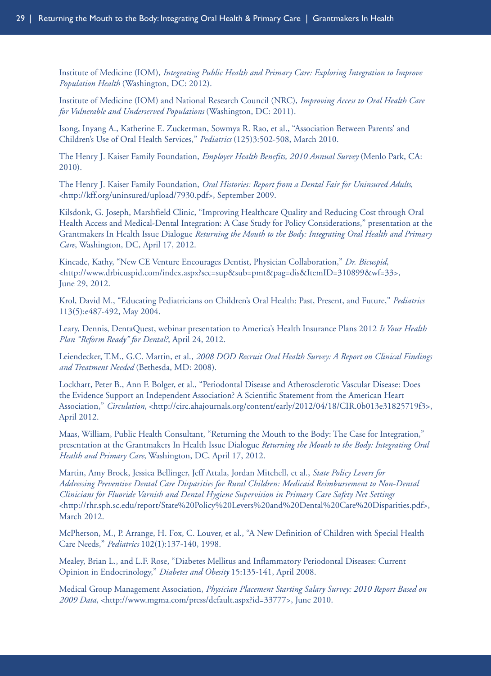Institute of Medicine (IOM), *Integrating Public Health and Primary Care: Exploring Integration to Improve Population Health* (Washington, DC: 2012).

Institute of Medicine (IOM) and National Research Council (NRC), *Improving Access to Oral Health Care for Vulnerable and Underserved Populations* (Washington, DC: 2011).

Isong, Inyang A., Katherine E. Zuckerman, Sowmya R. Rao, et al., "Association Between Parents' and Children's Use of Oral Health Services," *Pediatrics* (125)3:502-508, March 2010.

The Henry J. Kaiser Family Foundation, *Employer Health Benefits, 2010 Annual Survey* (Menlo Park, CA: 2010).

The Henry J. Kaiser Family Foundation, *Oral Histories: Report from a Dental Fair for Uninsured Adults*, <http://kff.org/uninsured/upload/7930.pdf>, September 2009.

Kilsdonk, G. Joseph, Marshfield Clinic, "Improving Healthcare Quality and Reducing Cost through Oral Health Access and Medical-Dental Integration: A Case Study for Policy Considerations," presentation at the Grantmakers In Health Issue Dialogue *Returning the Mouth to the Body: Integrating Oral Health and Primary Care*, Washington, DC, April 17, 2012.

Kincade, Kathy, "New CE Venture Encourages Dentist, Physician Collaboration," *Dr. Bicuspid*, <http://www.drbicuspid.com/index.aspx?sec=sup&sub=pmt&pag=dis&ItemID=310899&wf=33>, June 29, 2012.

Krol, David M., "Educating Pediatricians on Children's Oral Health: Past, Present, and Future," *Pediatrics* 113(5):e487-492, May 2004.

Leary, Dennis, DentaQuest, webinar presentation to America's Health Insurance Plans 2012 *Is Your Health Plan "Reform Ready" for Dental?*, April 24, 2012.

Leiendecker, T.M., G.C. Martin, et al., *2008 DOD Recruit Oral Health Survey: A Report on Clinical Findings and Treatment Needed* (Bethesda, MD: 2008).

Lockhart, Peter B., Ann F. Bolger, et al., "Periodontal Disease and Atherosclerotic Vascular Disease: Does the Evidence Support an Independent Association? A Scientific Statement from the American Heart Association," *Circulation*, <http://circ.ahajournals.org/content/early/2012/04/18/CIR.0b013e31825719f3>, April 2012.

Maas, William, Public Health Consultant, "Returning the Mouth to the Body: The Case for Integration," presentation at the Grantmakers In Health Issue Dialogue *Returning the Mouth to the Body: Integrating Oral Health and Primary Care*, Washington, DC, April 17, 2012.

Martin, Amy Brock, Jessica Bellinger, Jeff Attala, Jordan Mitchell, et al., *State Policy Levers for Addressing Preventive Dental Care Disparities for Rural Children: Medicaid Reimbursement to Non-Dental Clinicians for Fluoride Varnish and Dental Hygiene Supervision in Primary Care Safety Net Settings* <http://rhr.sph.sc.edu/report/State%20Policy%20Levers%20and%20Dental%20Care%20Disparities.pdf>, March 2012.

McPherson, M., P. Arrange, H. Fox, C. Louver, et al., "A New Definition of Children with Special Health Care Needs," *Pediatrics* 102(1):137-140, 1998.

Mealey, Brian L., and L.F. Rose, "Diabetes Mellitus and Inflammatory Periodontal Diseases: Current Opinion in Endocrinology," *Diabetes and Obesity* 15:135-141, April 2008.

Medical Group Management Association, *Physician Placement Starting Salary Survey: 2010 Report Based on 2009 Data*, <http://www.mgma.com/press/default.aspx?id=33777>, June 2010.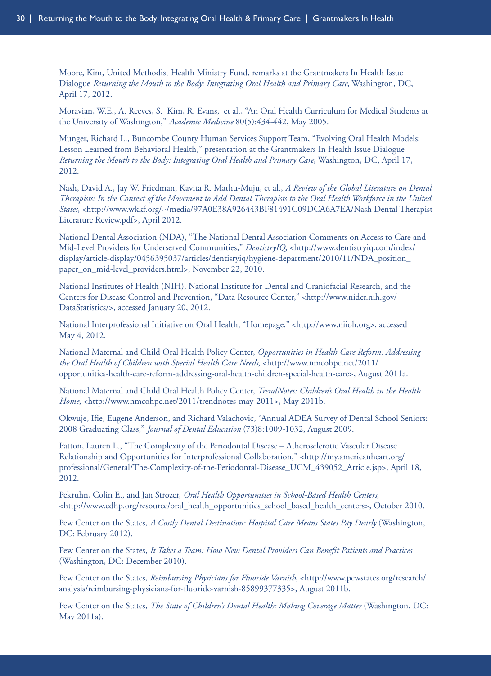Moore, Kim, United Methodist Health Ministry Fund, remarks at the Grantmakers In Health Issue Dialogue *Returning the Mouth to the Body: Integrating Oral Health and Primary Care*, Washington, DC, April 17, 2012.

Moravian, W.E., A. Reeves, S. Kim, R. Evans, et al., "An Oral Health Curriculum for Medical Students at the University of Washington," *Academic Medicine* 80(5):434-442, May 2005.

Munger, Richard L., Buncombe County Human Services Support Team, "Evolving Oral Health Models: Lesson Learned from Behavioral Health," presentation at the Grantmakers In Health Issue Dialogue *Returning the Mouth to the Body: Integrating Oral Health and Primary Care*, Washington, DC, April 17, 2012.

Nash, David A., Jay W. Friedman, Kavita R. Mathu-Muju, et al., *A Review of the Global Literature on Dental Therapists: In the Context of the Movement to Add Dental Therapists to the Oral Health Workforce in the United States*, <http://www.wkkf.org/~/media/97A0E38A926443BF81491C09DCA6A7EA/Nash Dental Therapist Literature Review.pdf>, April 2012.

National Dental Association (NDA), "The National Dental Association Comments on Access to Care and Mid-Level Providers for Underserved Communities," *DentistryIQ*, <http://www.dentistryiq.com/index/ display/article-display/0456395037/articles/dentisryiq/hygiene-department/2010/11/NDA\_position\_ paper\_on\_mid-level\_providers.html>, November 22, 2010.

National Institutes of Health (NIH), National Institute for Dental and Craniofacial Research, and the Centers for Disease Control and Prevention, "Data Resource Center," <http://www.nidcr.nih.gov/ DataStatistics/>, accessed January 20, 2012.

National Interprofessional Initiative on Oral Health, "Homepage," <http://www.niioh.org>, accessed May 4, 2012.

National Maternal and Child Oral Health Policy Center, *Opportunities in Health Care Reform: Addressing the Oral Health of Children with Special Health Care Needs*, <http://www.nmcohpc.net/2011/ opportunities-health-care-reform-addressing-oral-health-children-special-health-care>, August 2011a.

National Maternal and Child Oral Health Policy Center, *TrendNotes: Children's Oral Health in the Health Home*, <http://www.nmcohpc.net/2011/trendnotes-may-2011>, May 2011b.

Okwuje, Ifie, Eugene Anderson, and Richard Valachovic, "Annual ADEA Survey of Dental School Seniors: 2008 Graduating Class," *Journal of Dental Education* (73)8:1009-1032, August 2009.

Patton, Lauren L., "The Complexity of the Periodontal Disease – Atherosclerotic Vascular Disease Relationship and Opportunities for Interprofessional Collaboration," <http://my.americanheart.org/ professional/General/The-Complexity-of-the-Periodontal-Disease\_UCM\_439052\_Article.jsp>, April 18, 2012.

Pekruhn, Colin E., and Jan Strozer, *Oral Health Opportunities in School-Based Health Centers*, <http://www.cdhp.org/resource/oral\_health\_opportunities\_school\_based\_health\_centers>, October 2010.

Pew Center on the States, *A Costly Dental Destination: Hospital Care Means States Pay Dearly* (Washington, DC: February 2012).

Pew Center on the States, *It Takes a Team: How New Dental Providers Can Benefit Patients and Practices* (Washington, DC: December 2010).

Pew Center on the States, *Reimbursing Physicians for Fluoride Varnish*, <http://www.pewstates.org/research/ analysis/reimbursing-physicians-for-fluoride-varnish-85899377335>, August 2011b.

Pew Center on the States, *The State of Children's Dental Health: Making Coverage Matter* (Washington, DC: May 2011a).